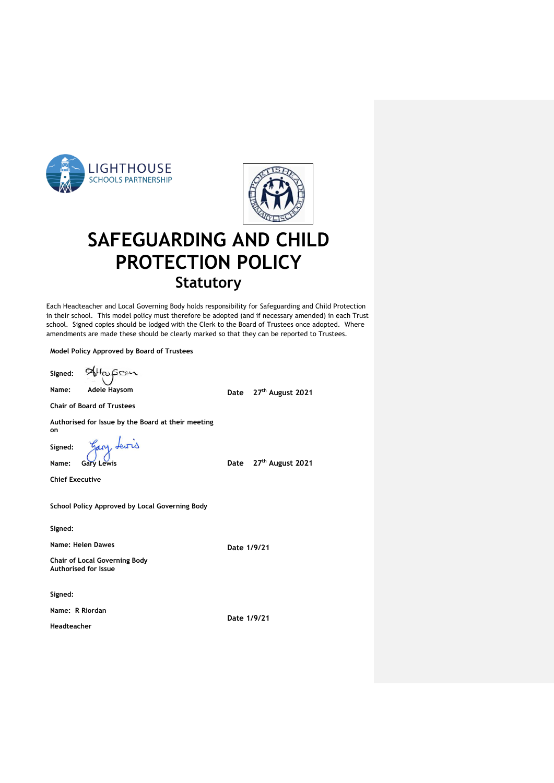



# **SAFEGUARDING AND CHILD PROTECTION POLICY Statutory**

Each Headteacher and Local Governing Body holds responsibility for Safeguarding and Child Protection in their school. This model policy must therefore be adopted (and if necessary amended) in each Trust school. Signed copies should be lodged with the Clerk to the Board of Trustees once adopted. Where amendments are made these should be clearly marked so that they can be reported to Trustees.

**Model Policy Approved by Board of Trustees**

AHarson **Signed:** 

**Name: Adele Haysom**

**Date 27th August 2021**

**Chair of Board of Trustees**

**Authorised for Issue by the Board at their meeting on** 

Lewrs Gary. **Signed:**  $\epsilon$ 

**Name: Gary Lewis**

**Chief Executive**

**School Policy Approved by Local Governing Body**

**Signed:**

**Name: Helen Dawes**

**Chair of Local Governing Body Authorised for Issue**

**Signed:**

**Name: R Riordan Date 1/9/21**

**Headteacher**

**Date 27th August 2021**

**Date 1/9/21**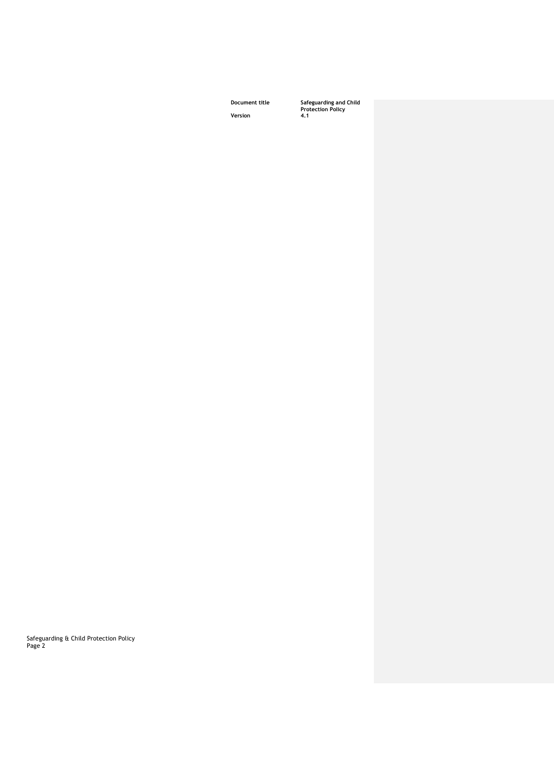**Document title Safeguarding and Child Protection Policy**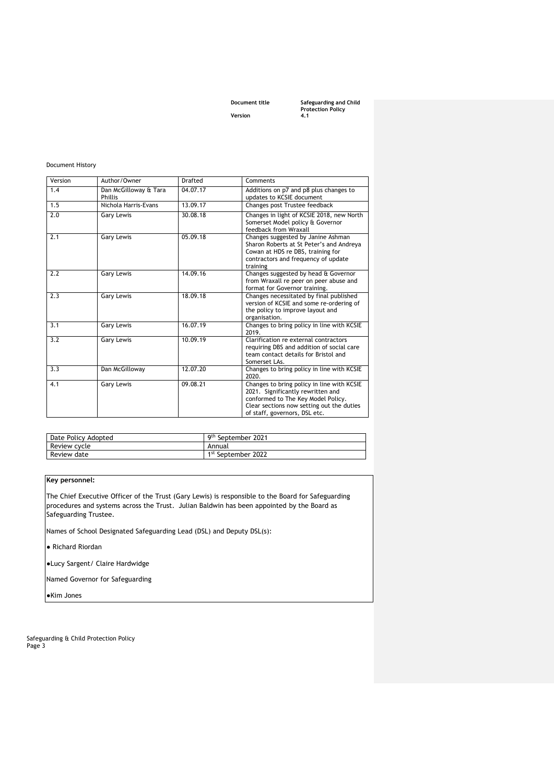**Document title Safeguarding and Child Protection Policy** 

#### Document History

| Version | Author/Owner                     | Drafted  | Comments                                                                                                                                                                                            |
|---------|----------------------------------|----------|-----------------------------------------------------------------------------------------------------------------------------------------------------------------------------------------------------|
| 1.4     | Dan McGilloway & Tara<br>Phillis | 04.07.17 | Additions on p7 and p8 plus changes to<br>updates to KCSIE document                                                                                                                                 |
| 1.5     | Nichola Harris-Evans             | 13.09.17 | Changes post Trustee feedback                                                                                                                                                                       |
| 2.0     | Gary Lewis                       | 30.08.18 | Changes in light of KCSIE 2018, new North<br>Somerset Model policy & Governor<br>feedback from Wraxall                                                                                              |
| 2.1     | Gary Lewis                       | 05.09.18 | Changes suggested by Janine Ashman<br>Sharon Roberts at St Peter's and Andreya<br>Cowan at HDS re DBS, training for<br>contractors and frequency of update<br>training                              |
| 2.2     | <b>Gary Lewis</b>                | 14.09.16 | Changes suggested by head & Governor<br>from Wraxall re peer on peer abuse and<br>format for Governor training.                                                                                     |
| 2.3     | Gary Lewis                       | 18.09.18 | Changes necessitated by final published<br>version of KCSIE and some re-ordering of<br>the policy to improve layout and<br>organisation.                                                            |
| 3.1     | <b>Gary Lewis</b>                | 16.07.19 | Changes to bring policy in line with KCSIE<br>2019.                                                                                                                                                 |
| 3.2     | <b>Gary Lewis</b>                | 10.09.19 | Clarification re external contractors<br>requiring DBS and addition of social care<br>team contact details for Bristol and<br>Somerset LAs.                                                         |
| 3.3     | Dan McGilloway                   | 12.07.20 | Changes to bring policy in line with KCSIE<br>2020.                                                                                                                                                 |
| 4.1     | Gary Lewis                       | 09.08.21 | Changes to bring policy in line with KCSIE<br>2021. Significantly rewritten and<br>conformed to The Key Model Policy.<br>Clear sections now setting out the duties<br>of staff, governors, DSL etc. |

| Date Policy Adopted | 9 <sup>th</sup> September 2021 |
|---------------------|--------------------------------|
| Review cycle        | Annual                         |
| Review date         | 1 <sup>st</sup> September 2022 |

### **Key personnel:**

The Chief Executive Officer of the Trust (Gary Lewis) is responsible to the Board for Safeguarding procedures and systems across the Trust. Julian Baldwin has been appointed by the Board as Safeguarding Trustee.

Names of School Designated Safeguarding Lead (DSL) and Deputy DSL(s):

● Richard Riordan

●Lucy Sargent/ Claire Hardwidge

Named Governor for Safeguarding

●Kim Jones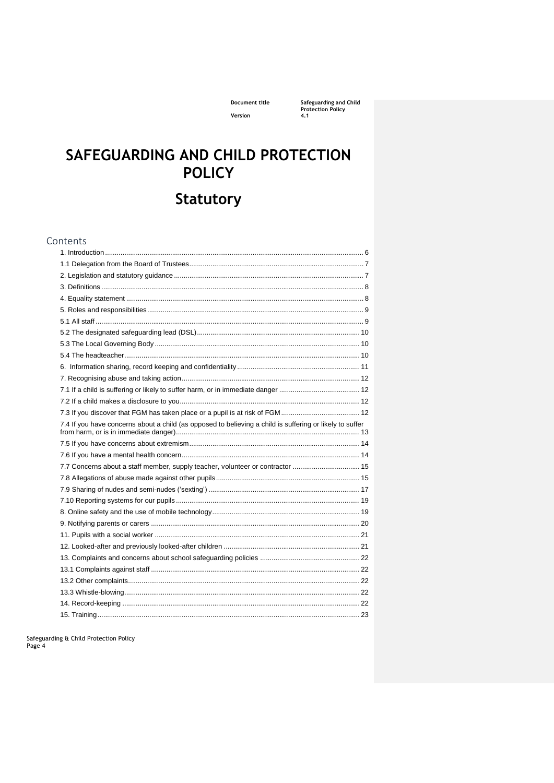Document title Version

Safeguarding and Child<br>Protection Policy<br>4.1

# SAFEGUARDING AND CHILD PROTECTION **POLICY**

# **Statutory**

| Contents                                                                                                 |  |
|----------------------------------------------------------------------------------------------------------|--|
|                                                                                                          |  |
|                                                                                                          |  |
|                                                                                                          |  |
|                                                                                                          |  |
|                                                                                                          |  |
|                                                                                                          |  |
|                                                                                                          |  |
|                                                                                                          |  |
|                                                                                                          |  |
|                                                                                                          |  |
|                                                                                                          |  |
|                                                                                                          |  |
|                                                                                                          |  |
|                                                                                                          |  |
|                                                                                                          |  |
| 7.4 If you have concerns about a child (as opposed to believing a child is suffering or likely to suffer |  |
|                                                                                                          |  |
|                                                                                                          |  |
| 7.7 Concerns about a staff member, supply teacher, volunteer or contractor  15                           |  |
|                                                                                                          |  |
|                                                                                                          |  |
|                                                                                                          |  |
|                                                                                                          |  |
|                                                                                                          |  |
|                                                                                                          |  |
|                                                                                                          |  |
|                                                                                                          |  |
|                                                                                                          |  |
|                                                                                                          |  |
|                                                                                                          |  |
|                                                                                                          |  |
|                                                                                                          |  |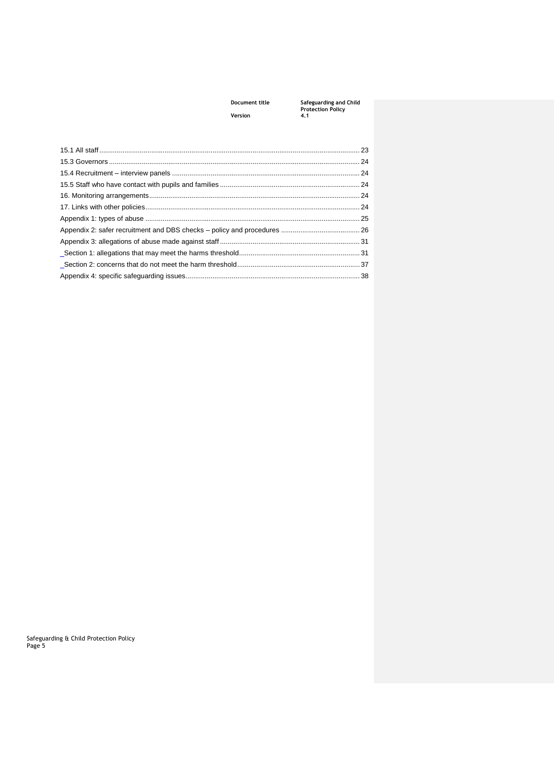## **Document title Safeguarding and Child Protection Policy**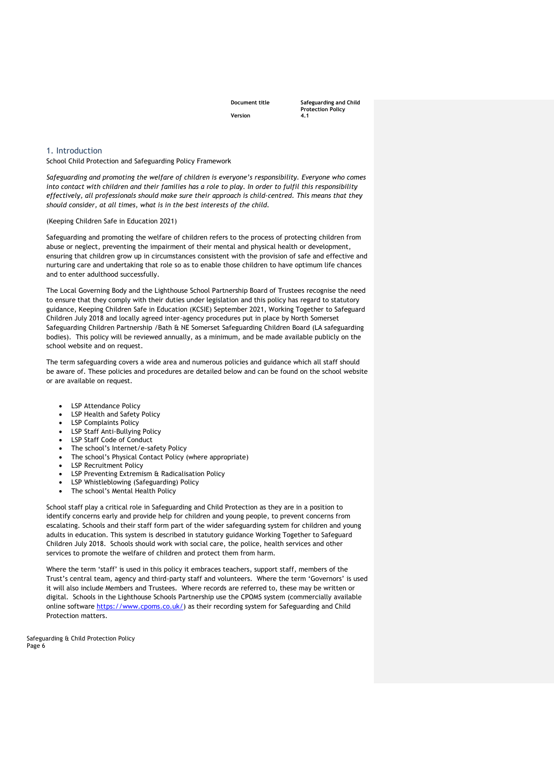**Document title Safeguarding and Child Protection Policy** 

#### <span id="page-5-0"></span>1. Introduction

School Child Protection and Safeguarding Policy Framework

*Safeguarding and promoting the welfare of children is everyone's responsibility. Everyone who comes into contact with children and their families has a role to play. In order to fulfil this responsibility effectively, all professionals should make sure their approach is child-centred. This means that they should consider, at all times, what is in the best interests of the child.* 

#### (Keeping Children Safe in Education 2021)

Safeguarding and promoting the welfare of children refers to the process of protecting children from abuse or neglect, preventing the impairment of their mental and physical health or development, ensuring that children grow up in circumstances consistent with the provision of safe and effective and nurturing care and undertaking that role so as to enable those children to have optimum life chances and to enter adulthood successfully.

The Local Governing Body and the Lighthouse School Partnership Board of Trustees recognise the need to ensure that they comply with their duties under legislation and this policy has regard to statutory guidance, Keeping Children Safe in Education (KCSIE) September 2021, Working Together to Safeguard Children July 2018 and locally agreed inter-agency procedures put in place by North Somerset Safeguarding Children Partnership /Bath & NE Somerset Safeguarding Children Board (LA safeguarding bodies). This policy will be reviewed annually, as a minimum, and be made available publicly on the school website and on request.

The term safeguarding covers a wide area and numerous policies and guidance which all staff should be aware of. These policies and procedures are detailed below and can be found on the school website or are available on request.

- LSP Attendance Policy
- LSP Health and Safety Policy
- **LSP Complaints Policy**
- LSP Staff Anti-Bullying Policy
- LSP Staff Code of Conduct
- The school's Internet/e-safety Policy
- The school's Physical Contact Policy (where appropriate)
- LSP Recruitment Policy
- LSP Preventing Extremism & Radicalisation Policy
- LSP Whistleblowing (Safeguarding) Policy
- The school's Mental Health Policy

School staff play a critical role in Safeguarding and Child Protection as they are in a position to identify concerns early and provide help for children and young people, to prevent concerns from escalating. Schools and their staff form part of the wider safeguarding system for children and young adults in education. This system is described in statutory guidance Working Together to Safeguard Children July 2018. Schools should work with social care, the police, health services and other services to promote the welfare of children and protect them from harm.

Where the term 'staff' is used in this policy it embraces teachers, support staff, members of the Trust's central team, agency and third-party staff and volunteers. Where the term 'Governors' is used it will also include Members and Trustees. Where records are referred to, these may be written or digital. Schools in the Lighthouse Schools Partnership use the CPOMS system (commercially available online software [https://www.cpoms.co.uk/\)](https://www.cpoms.co.uk/) as their recording system for Safeguarding and Child Protection matters.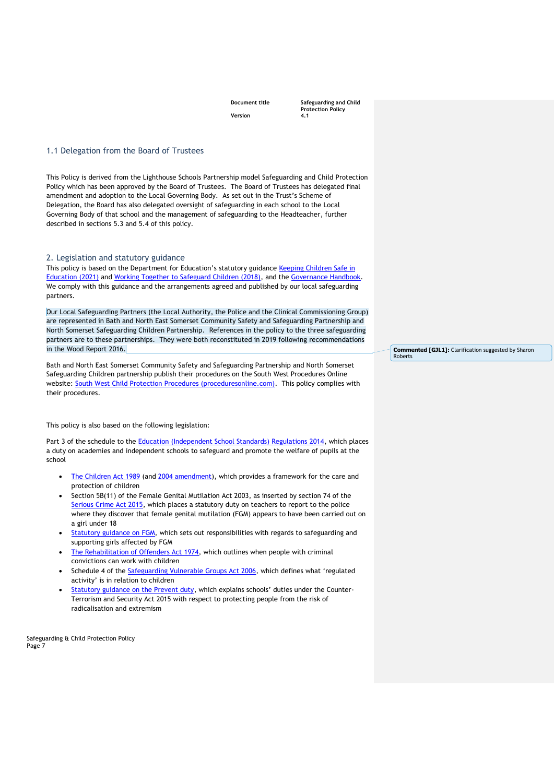**Document title Safeguarding and Child Protection Policy** 

#### <span id="page-6-0"></span>1.1 Delegation from the Board of Trustees

This Policy is derived from the Lighthouse Schools Partnership model Safeguarding and Child Protection Policy which has been approved by the Board of Trustees. The Board of Trustees has delegated final amendment and adoption to the Local Governing Body. As set out in the Trust's Scheme of Delegation, the Board has also delegated oversight of safeguarding in each school to the Local Governing Body of that school and the management of safeguarding to the Headteacher, further described in sections 5.3 and 5.4 of this policy.

#### <span id="page-6-1"></span>2. Legislation and statutory guidance

This policy is based on the Department for Education's statutory guidance Keeping Children Safe in [Education \(2021\)](https://www.gov.uk/government/publications/keeping-children-safe-in-education--2) and [Working Together to Safeguard Children \(2018\),](https://www.gov.uk/government/publications/working-together-to-safeguard-children--2) and the [Governance Handbook.](https://www.gov.uk/government/publications/governance-handbook) We comply with this guidance and the arrangements agreed and published by our local safeguarding partners.

Our Local Safeguarding Partners (the Local Authority, the Police and the Clinical Commissioning Group) are represented in Bath and North East Somerset Community Safety and Safeguarding Partnership and North Somerset Safeguarding Children Partnership. References in the policy to the three safeguarding partners are to these partnerships. They were both reconstituted in 2019 following recommendations in the Wood Report 2016.

Bath and North East Somerset Community Safety and Safeguarding Partnership and North Somerset Safeguarding Children partnership publish their procedures on the South West Procedures Online website: [South West Child Protection Procedures \(proceduresonline.com\).](https://www.proceduresonline.com/swcpp/) This policy complies with their procedures.

This policy is also based on the following legislation:

Part 3 of the schedule to the [Education \(Independent School Standards\) Regulations 2014,](http://www.legislation.gov.uk/uksi/2014/3283/schedule/part/3/made) which places a duty on academies and independent schools to safeguard and promote the welfare of pupils at the school

- [The Children Act 1989](http://www.legislation.gov.uk/ukpga/1989/41) (and [2004 amendment\)](http://www.legislation.gov.uk/ukpga/2004/31/contents), which provides a framework for the care and protection of children
- Section 5B(11) of the Female Genital Mutilation Act 2003, as inserted by section 74 of the [Serious Crime Act 2015,](http://www.legislation.gov.uk/ukpga/2015/9/part/5/crossheading/female-genital-mutilation) which places a statutory duty on teachers to report to the police where they discover that female genital mutilation (FGM) appears to have been carried out on a girl under 18
- [Statutory guidance on FGM,](https://www.gov.uk/government/publications/multi-agency-statutory-guidance-on-female-genital-mutilation) which sets out responsibilities with regards to safeguarding and supporting girls affected by FGM
- [The Rehabilitation of Offenders Act 1974,](http://www.legislation.gov.uk/ukpga/1974/53) which outlines when people with criminal convictions can work with children
- Schedule 4 of the [Safeguarding Vulnerable Groups Act 2006](http://www.legislation.gov.uk/ukpga/2006/47/schedule/4), which defines what 'regulated activity' is in relation to children
- [Statutory guidance on the Prevent duty](https://www.gov.uk/government/publications/prevent-duty-guidance), which explains schools' duties under the Counter-Terrorism and Security Act 2015 with respect to protecting people from the risk of radicalisation and extremism

Safeguarding & Child Protection Policy Page 7

**Commented [GJL1]:** Clarification suggested by Sharon Roberts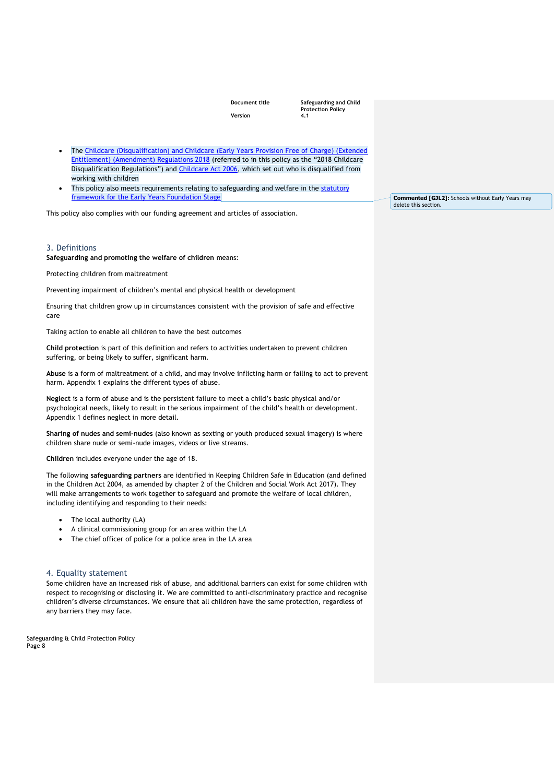**Document title Safeguarding and Child Protection Policy** 

- The Childcare (Disqualification) and Childcare (Early Years Provision Free of Charge) (Extended [Entitlement\) \(Amendment\) Regulations 2018](http://www.legislation.gov.uk/uksi/2018/794/contents/made) (referred to in this policy as the "2018 Childcare Disqualification Regulations") and [Childcare Act 2006,](http://www.legislation.gov.uk/ukpga/2006/21/contents) which set out who is disqualified from working with children
- This policy also meets requirements relating to safeguarding and welfare in the statutory [framework for the Early Years Foundation Stage](https://www.gov.uk/government/publications/early-years-foundation-stage-framework--2)

This policy also complies with our funding agreement and articles of association.

#### <span id="page-7-0"></span>3. Definitions

**Safeguarding and promoting the welfare of children** means:

Protecting children from maltreatment

Preventing impairment of children's mental and physical health or development

Ensuring that children grow up in circumstances consistent with the provision of safe and effective care

Taking action to enable all children to have the best outcomes

**Child protection** is part of this definition and refers to activities undertaken to prevent children suffering, or being likely to suffer, significant harm.

**Abuse** is a form of maltreatment of a child, and may involve inflicting harm or failing to act to prevent harm. Appendix 1 explains the different types of abuse.

**Neglect** is a form of abuse and is the persistent failure to meet a child's basic physical and/or psychological needs, likely to result in the serious impairment of the child's health or development. Appendix 1 defines neglect in more detail.

**Sharing of nudes and semi-nudes** (also known as sexting or youth produced sexual imagery) is where children share nude or semi-nude images, videos or live streams.

**Children** includes everyone under the age of 18.

The following **safeguarding partners** are identified in Keeping Children Safe in Education (and defined in the Children Act 2004, as amended by chapter 2 of the Children and Social Work Act 2017). They will make arrangements to work together to safeguard and promote the welfare of local children, including identifying and responding to their needs:

- The local authority (LA)
- A clinical commissioning group for an area within the LA
- The chief officer of police for a police area in the LA area

#### <span id="page-7-1"></span>4. Equality statement

Some children have an increased risk of abuse, and additional barriers can exist for some children with respect to recognising or disclosing it. We are committed to anti-discriminatory practice and recognise children's diverse circumstances. We ensure that all children have the same protection, regardless of any barriers they may face.

Safeguarding & Child Protection Policy Page 8

**Commented [GJL2]:** Schools without Early Years may delete this section.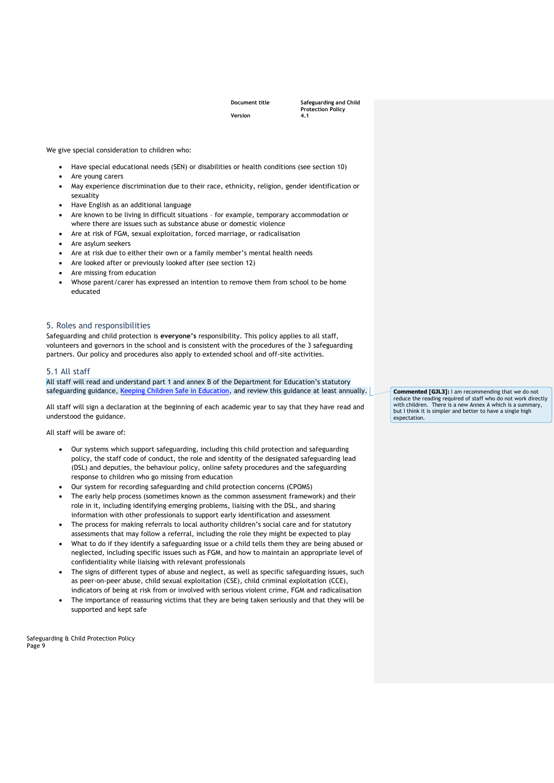**Document title Safeguarding and Child Protection Policy** 

We give special consideration to children who:

- Have special educational needs (SEN) or disabilities or health conditions (see section 10)
- Are young carers
- May experience discrimination due to their race, ethnicity, religion, gender identification or sexuality
- Have English as an additional language
- Are known to be living in difficult situations for example, temporary accommodation or where there are issues such as substance abuse or domestic violence
- Are at risk of FGM, sexual exploitation, forced marriage, or radicalisation
- Are asylum seekers
- Are at risk due to either their own or a family member's mental health needs
- Are looked after or previously looked after (see section 12)
- Are missing from education
- Whose parent/carer has expressed an intention to remove them from school to be home educated

#### <span id="page-8-0"></span>5. Roles and responsibilities

Safeguarding and child protection is **everyone's** responsibility. This policy applies to all staff, volunteers and governors in the school and is consistent with the procedures of the 3 safeguarding partners. Our policy and procedures also apply to extended school and off-site activities.

#### <span id="page-8-1"></span>5.1 All staff

All staff will read and understand part 1 and annex B of the Department for Education's statutory safeguarding guidance, [Keeping Children Safe in Education,](https://www.gov.uk/government/publications/keeping-children-safe-in-education--2) and review this guidance at least annually.

All staff will sign a declaration at the beginning of each academic year to say that they have read and understood the guidance.

All staff will be aware of:

- Our systems which support safeguarding, including this child protection and safeguarding policy, the staff code of conduct, the role and identity of the designated safeguarding lead (DSL) and deputies, the behaviour policy, online safety procedures and the safeguarding response to children who go missing from education
- Our system for recording safeguarding and child protection concerns (CPOMS)
- The early help process (sometimes known as the common assessment framework) and their role in it, including identifying emerging problems, liaising with the DSL, and sharing information with other professionals to support early identification and assessment
- The process for making referrals to local authority children's social care and for statutory assessments that may follow a referral, including the role they might be expected to play
- What to do if they identify a safeguarding issue or a child tells them they are being abused or neglected, including specific issues such as FGM, and how to maintain an appropriate level of confidentiality while liaising with relevant professionals
- The signs of different types of abuse and neglect, as well as specific safeguarding issues, such as peer-on-peer abuse, child sexual exploitation (CSE), child criminal exploitation (CCE), indicators of being at risk from or involved with serious violent crime, FGM and radicalisation
- The importance of reassuring victims that they are being taken seriously and that they will be supported and kept safe

Safeguarding & Child Protection Policy Page 9

**Commented [GJL3]:** I am recommending that we do not reduce the reading required of staff who do not work directly with children. There is a new Annex A which is a summary, but I think it is simpler and better to have a single high expectation.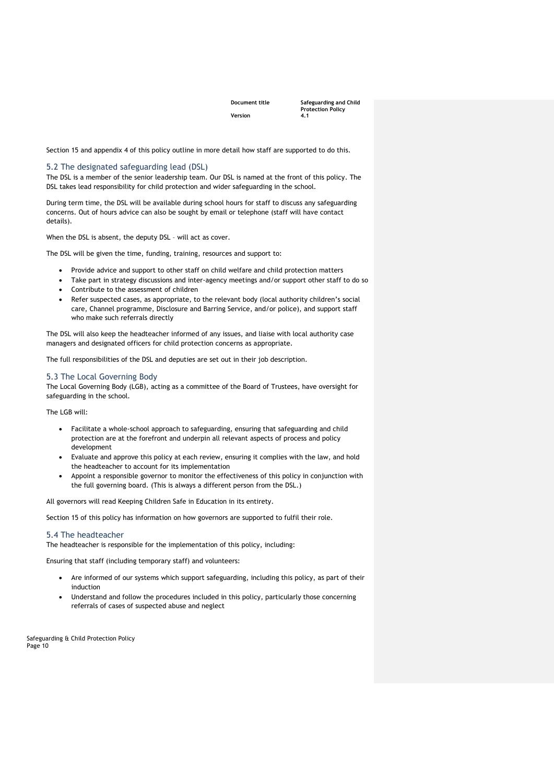**Document title Safeguarding and Child Protection Policy** 

Section 15 and appendix 4 of this policy outline in more detail how staff are supported to do this.

#### <span id="page-9-0"></span>5.2 The designated safeguarding lead (DSL)

The DSL is a member of the senior leadership team. Our DSL is named at the front of this policy. The DSL takes lead responsibility for child protection and wider safeguarding in the school.

During term time, the DSL will be available during school hours for staff to discuss any safeguarding concerns. Out of hours advice can also be sought by email or telephone (staff will have contact details).

When the DSL is absent, the deputy DSL – will act as cover.

The DSL will be given the time, funding, training, resources and support to:

- Provide advice and support to other staff on child welfare and child protection matters
- Take part in strategy discussions and inter-agency meetings and/or support other staff to do so
- Contribute to the assessment of children
- Refer suspected cases, as appropriate, to the relevant body (local authority children's social care, Channel programme, Disclosure and Barring Service, and/or police), and support staff who make such referrals directly

The DSL will also keep the headteacher informed of any issues, and liaise with local authority case managers and designated officers for child protection concerns as appropriate.

The full responsibilities of the DSL and deputies are set out in their job description.

#### <span id="page-9-1"></span>5.3 The Local Governing Body

The Local Governing Body (LGB), acting as a committee of the Board of Trustees, have oversight for safeguarding in the school.

The LGB will:

- Facilitate a whole-school approach to safeguarding, ensuring that safeguarding and child protection are at the forefront and underpin all relevant aspects of process and policy development
- Evaluate and approve this policy at each review, ensuring it complies with the law, and hold the headteacher to account for its implementation
- Appoint a responsible governor to monitor the effectiveness of this policy in conjunction with the full governing board. (This is always a different person from the DSL.)

All governors will read Keeping Children Safe in Education in its entirety.

Section 15 of this policy has information on how governors are supported to fulfil their role.

#### <span id="page-9-2"></span>5.4 The headteacher

The headteacher is responsible for the implementation of this policy, including:

Ensuring that staff (including temporary staff) and volunteers:

- Are informed of our systems which support safeguarding, including this policy, as part of their induction
- Understand and follow the procedures included in this policy, particularly those concerning referrals of cases of suspected abuse and neglect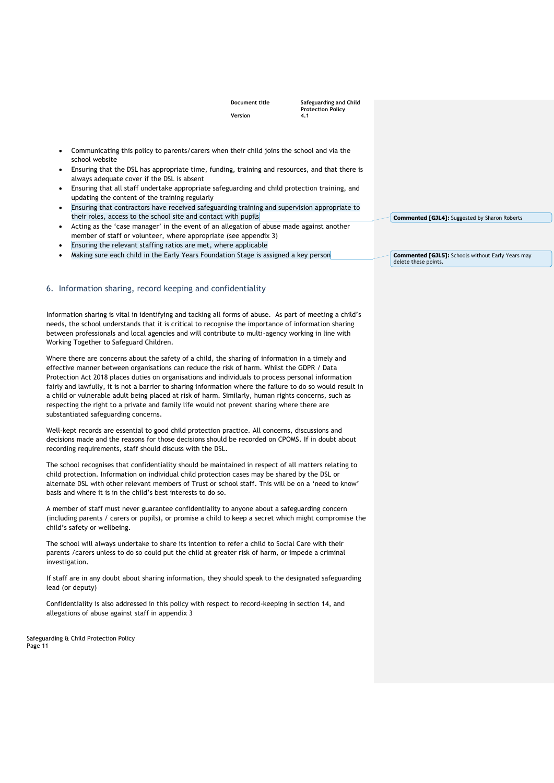**Document title Safeguarding and Child Protection Policy** 

- Communicating this policy to parents/carers when their child joins the school and via the school website
- Ensuring that the DSL has appropriate time, funding, training and resources, and that there is always adequate cover if the DSL is absent
- Ensuring that all staff undertake appropriate safeguarding and child protection training, and updating the content of the training regularly
- Ensuring that contractors have received safeguarding training and supervision appropriate to their roles, access to the school site and contact with pupils
- Acting as the 'case manager' in the event of an allegation of abuse made against another member of staff or volunteer, where appropriate (see appendix 3)
- Ensuring the relevant staffing ratios are met, where applicable
- Making sure each child in the Early Years Foundation Stage is assigned a key person

#### <span id="page-10-0"></span>6. Information sharing, record keeping and confidentiality

Information sharing is vital in identifying and tacking all forms of abuse. As part of meeting a child's needs, the school understands that it is critical to recognise the importance of information sharing between professionals and local agencies and will contribute to multi-agency working in line with Working Together to Safeguard Children.

Where there are concerns about the safety of a child, the sharing of information in a timely and effective manner between organisations can reduce the risk of harm. Whilst the GDPR / Data Protection Act 2018 places duties on organisations and individuals to process personal information fairly and lawfully, it is not a barrier to sharing information where the failure to do so would result in a child or vulnerable adult being placed at risk of harm. Similarly, human rights concerns, such as respecting the right to a private and family life would not prevent sharing where there are substantiated safeguarding concerns.

Well-kept records are essential to good child protection practice. All concerns, discussions and decisions made and the reasons for those decisions should be recorded on CPOMS. If in doubt about recording requirements, staff should discuss with the DSL.

The school recognises that confidentiality should be maintained in respect of all matters relating to child protection. Information on individual child protection cases may be shared by the DSL or alternate DSL with other relevant members of Trust or school staff. This will be on a 'need to know' basis and where it is in the child's best interests to do so.

A member of staff must never guarantee confidentiality to anyone about a safeguarding concern (including parents / carers or pupils), or promise a child to keep a secret which might compromise the child's safety or wellbeing.

The school will always undertake to share its intention to refer a child to Social Care with their parents /carers unless to do so could put the child at greater risk of harm, or impede a criminal investigation.

If staff are in any doubt about sharing information, they should speak to the designated safeguarding lead (or deputy)

Confidentiality is also addressed in this policy with respect to record-keeping in section 14, and allegations of abuse against staff in appendix 3

Safeguarding & Child Protection Policy Page 11

**Commented [GJL4]:** Suggested by Sharon Roberts

**Commented [GJL5]:** Schools without Early Years may delete these points.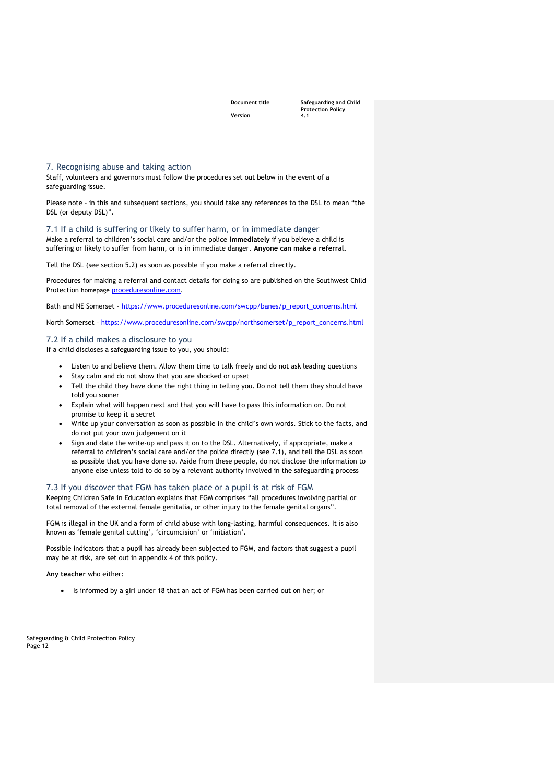**Document title Safeguarding and Child Protection Policy** 

<span id="page-11-0"></span>7. Recognising abuse and taking action

Staff, volunteers and governors must follow the procedures set out below in the event of a safeguarding issue.

Please note – in this and subsequent sections, you should take any references to the DSL to mean "the DSL (or deputy DSL)".

<span id="page-11-1"></span>7.1 If a child is suffering or likely to suffer harm, or in immediate danger Make a referral to children's social care and/or the police **immediately** if you believe a child is suffering or likely to suffer from harm, or is in immediate danger. **Anyone can make a referral.**

Tell the DSL (see section 5.2) as soon as possible if you make a referral directly.

Procedures for making a referral and contact details for doing so are published on the Southwest Child Protection homepage [proceduresonline.com.](https://www.proceduresonline.com/swcpp/)

Bath and NE Somerset - [https://www.proceduresonline.com/swcpp/banes/p\\_report\\_concerns.html](https://www.proceduresonline.com/swcpp/banes/p_report_concerns.html)

North Somerset – [https://www.proceduresonline.com/swcpp/northsomerset/p\\_report\\_concerns.html](https://www.proceduresonline.com/swcpp/northsomerset/p_report_concerns.html)

#### <span id="page-11-2"></span>7.2 If a child makes a disclosure to you

If a child discloses a safeguarding issue to you, you should:

- Listen to and believe them. Allow them time to talk freely and do not ask leading questions
- Stay calm and do not show that you are shocked or upset
- Tell the child they have done the right thing in telling you. Do not tell them they should have told you sooner
- Explain what will happen next and that you will have to pass this information on. Do not promise to keep it a secret
- Write up your conversation as soon as possible in the child's own words. Stick to the facts, and do not put your own judgement on it
- Sign and date the write-up and pass it on to the DSL. Alternatively, if appropriate, make a referral to children's social care and/or the police directly (see 7.1), and tell the DSL as soon as possible that you have done so. Aside from these people, do not disclose the information to anyone else unless told to do so by a relevant authority involved in the safeguarding process

#### <span id="page-11-3"></span>7.3 If you discover that FGM has taken place or a pupil is at risk of FGM

Keeping Children Safe in Education explains that FGM comprises "all procedures involving partial or total removal of the external female genitalia, or other injury to the female genital organs".

FGM is illegal in the UK and a form of child abuse with long-lasting, harmful consequences. It is also known as 'female genital cutting', 'circumcision' or 'initiation'.

Possible indicators that a pupil has already been subjected to FGM, and factors that suggest a pupil may be at risk, are set out in appendix 4 of this policy.

**Any teacher** who either:

• Is informed by a girl under 18 that an act of FGM has been carried out on her; or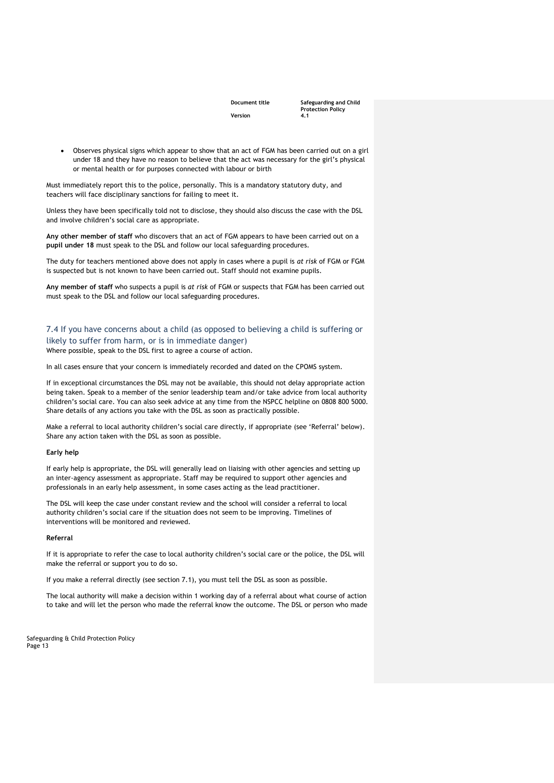**Document title Safeguarding and Child Protection Policy** 

• Observes physical signs which appear to show that an act of FGM has been carried out on a girl under 18 and they have no reason to believe that the act was necessary for the girl's physical or mental health or for purposes connected with labour or birth

Must immediately report this to the police, personally. This is a mandatory statutory duty, and teachers will face disciplinary sanctions for failing to meet it.

Unless they have been specifically told not to disclose, they should also discuss the case with the DSL and involve children's social care as appropriate.

**Any other member of staff** who discovers that an act of FGM appears to have been carried out on a **pupil under 18** must speak to the DSL and follow our local safeguarding procedures.

The duty for teachers mentioned above does not apply in cases where a pupil is *at risk* of FGM or FGM is suspected but is not known to have been carried out. Staff should not examine pupils.

**Any member of staff** who suspects a pupil is *at risk* of FGM or suspects that FGM has been carried out must speak to the DSL and follow our local safeguarding procedures.

### <span id="page-12-0"></span>7.4 If you have concerns about a child (as opposed to believing a child is suffering or likely to suffer from harm, or is in immediate danger)

Where possible, speak to the DSL first to agree a course of action.

In all cases ensure that your concern is immediately recorded and dated on the CPOMS system.

If in exceptional circumstances the DSL may not be available, this should not delay appropriate action being taken. Speak to a member of the senior leadership team and/or take advice from local authority children's social care. You can also seek advice at any time from the NSPCC helpline on 0808 800 5000. Share details of any actions you take with the DSL as soon as practically possible.

Make a referral to local authority children's social care directly, if appropriate (see 'Referral' below). Share any action taken with the DSL as soon as possible.

#### **Early help**

If early help is appropriate, the DSL will generally lead on liaising with other agencies and setting up an inter-agency assessment as appropriate. Staff may be required to support other agencies and professionals in an early help assessment, in some cases acting as the lead practitioner.

The DSL will keep the case under constant review and the school will consider a referral to local authority children's social care if the situation does not seem to be improving. Timelines of interventions will be monitored and reviewed.

#### **Referral**

If it is appropriate to refer the case to local authority children's social care or the police, the DSL will make the referral or support you to do so.

If you make a referral directly (see section 7.1), you must tell the DSL as soon as possible.

The local authority will make a decision within 1 working day of a referral about what course of action to take and will let the person who made the referral know the outcome. The DSL or person who made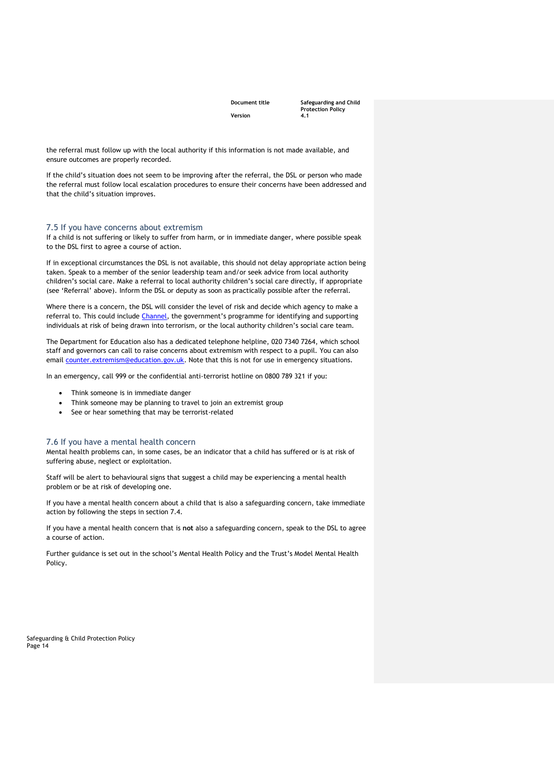**Document title Safeguarding and Child Protection Policy** 

the referral must follow up with the local authority if this information is not made available, and ensure outcomes are properly recorded.

If the child's situation does not seem to be improving after the referral, the DSL or person who made the referral must follow local escalation procedures to ensure their concerns have been addressed and that the child's situation improves.

#### <span id="page-13-0"></span>7.5 If you have concerns about extremism

If a child is not suffering or likely to suffer from harm, or in immediate danger, where possible speak to the DSL first to agree a course of action.

If in exceptional circumstances the DSL is not available, this should not delay appropriate action being taken. Speak to a member of the senior leadership team and/or seek advice from local authority children's social care. Make a referral to local authority children's social care directly, if appropriate (see 'Referral' above). Inform the DSL or deputy as soon as practically possible after the referral.

Where there is a concern, the DSL will consider the level of risk and decide which agency to make a referral to. This could include [Channel](https://www.gov.uk/government/publications/channel-guidance), the government's programme for identifying and supporting individuals at risk of being drawn into terrorism, or the local authority children's social care team.

The Department for Education also has a dedicated telephone helpline, 020 7340 7264, which school staff and governors can call to raise concerns about extremism with respect to a pupil. You can also email [counter.extremism@education.gov.uk.](mailto:counter.extremism@education.gov.uk) Note that this is not for use in emergency situations.

In an emergency, call 999 or the confidential anti-terrorist hotline on 0800 789 321 if you:

- Think someone is in immediate danger
- Think someone may be planning to travel to join an extremist group
- See or hear something that may be terrorist-related

#### <span id="page-13-1"></span>7.6 If you have a mental health concern

Mental health problems can, in some cases, be an indicator that a child has suffered or is at risk of suffering abuse, neglect or exploitation.

Staff will be alert to behavioural signs that suggest a child may be experiencing a mental health problem or be at risk of developing one.

If you have a mental health concern about a child that is also a safeguarding concern, take immediate action by following the steps in section 7.4.

If you have a mental health concern that is **not** also a safeguarding concern, speak to the DSL to agree a course of action.

Further guidance is set out in the school's Mental Health Policy and the Trust's Model Mental Health Policy.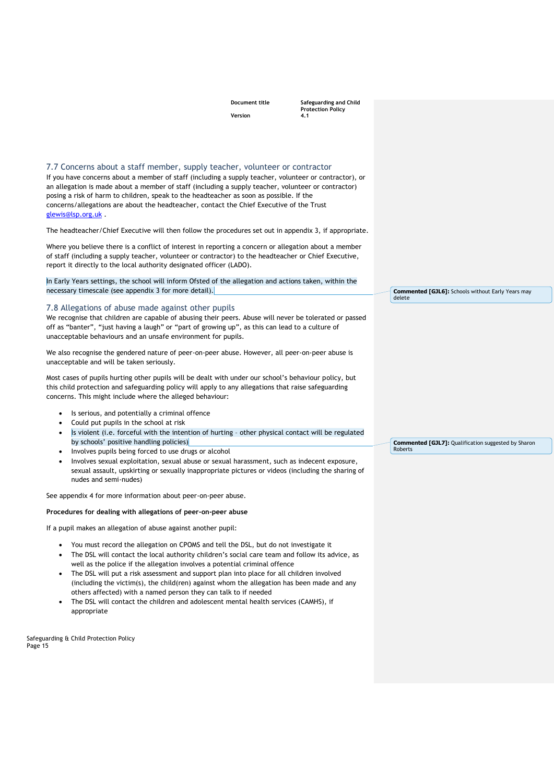<span id="page-14-1"></span><span id="page-14-0"></span>

|                                                                                                                                                                                                                                                                                                                                                                                                                                                                                                                                                                                                                                                                  | <b>Document title</b> | Safeguarding and Child<br><b>Protection Policy</b> |                                                                    |
|------------------------------------------------------------------------------------------------------------------------------------------------------------------------------------------------------------------------------------------------------------------------------------------------------------------------------------------------------------------------------------------------------------------------------------------------------------------------------------------------------------------------------------------------------------------------------------------------------------------------------------------------------------------|-----------------------|----------------------------------------------------|--------------------------------------------------------------------|
|                                                                                                                                                                                                                                                                                                                                                                                                                                                                                                                                                                                                                                                                  | Version               | 4.1                                                |                                                                    |
|                                                                                                                                                                                                                                                                                                                                                                                                                                                                                                                                                                                                                                                                  |                       |                                                    |                                                                    |
|                                                                                                                                                                                                                                                                                                                                                                                                                                                                                                                                                                                                                                                                  |                       |                                                    |                                                                    |
| 7.7 Concerns about a staff member, supply teacher, volunteer or contractor<br>If you have concerns about a member of staff (including a supply teacher, volunteer or contractor), or<br>an allegation is made about a member of staff (including a supply teacher, volunteer or contractor)<br>posing a risk of harm to children, speak to the headteacher as soon as possible. If the<br>concerns/allegations are about the headteacher, contact the Chief Executive of the Trust<br>glewis@lsp.org.uk.                                                                                                                                                         |                       |                                                    |                                                                    |
| The headteacher/Chief Executive will then follow the procedures set out in appendix 3, if appropriate.                                                                                                                                                                                                                                                                                                                                                                                                                                                                                                                                                           |                       |                                                    |                                                                    |
| Where you believe there is a conflict of interest in reporting a concern or allegation about a member<br>of staff (including a supply teacher, volunteer or contractor) to the headteacher or Chief Executive,<br>report it directly to the local authority designated officer (LADO).                                                                                                                                                                                                                                                                                                                                                                           |                       |                                                    |                                                                    |
| In Early Years settings, the school will inform Ofsted of the allegation and actions taken, within the<br>necessary timescale (see appendix 3 for more detail).                                                                                                                                                                                                                                                                                                                                                                                                                                                                                                  |                       |                                                    |                                                                    |
|                                                                                                                                                                                                                                                                                                                                                                                                                                                                                                                                                                                                                                                                  |                       |                                                    | <b>Commented [GJL6]:</b> Schools without Early Years may<br>delete |
| 7.8 Allegations of abuse made against other pupils                                                                                                                                                                                                                                                                                                                                                                                                                                                                                                                                                                                                               |                       |                                                    |                                                                    |
| We recognise that children are capable of abusing their peers. Abuse will never be tolerated or passed<br>off as "banter", "just having a laugh" or "part of growing up", as this can lead to a culture of<br>unacceptable behaviours and an unsafe environment for pupils.                                                                                                                                                                                                                                                                                                                                                                                      |                       |                                                    |                                                                    |
| We also recognise the gendered nature of peer-on-peer abuse. However, all peer-on-peer abuse is<br>unacceptable and will be taken seriously.                                                                                                                                                                                                                                                                                                                                                                                                                                                                                                                     |                       |                                                    |                                                                    |
| Most cases of pupils hurting other pupils will be dealt with under our school's behaviour policy, but<br>this child protection and safeguarding policy will apply to any allegations that raise safeguarding<br>concerns. This might include where the alleged behaviour:                                                                                                                                                                                                                                                                                                                                                                                        |                       |                                                    |                                                                    |
| Is serious, and potentially a criminal offence<br>٠                                                                                                                                                                                                                                                                                                                                                                                                                                                                                                                                                                                                              |                       |                                                    |                                                                    |
| Could put pupils in the school at risk<br>٠<br>Is violent (i.e. forceful with the intention of hurting - other physical contact will be regulated<br>٠<br>by schools' positive handling policies)                                                                                                                                                                                                                                                                                                                                                                                                                                                                |                       |                                                    | <b>Commented [GJL7]:</b> Qualification suggested by Sharon         |
| Involves pupils being forced to use drugs or alcohol                                                                                                                                                                                                                                                                                                                                                                                                                                                                                                                                                                                                             |                       |                                                    | Roberts                                                            |
| Involves sexual exploitation, sexual abuse or sexual harassment, such as indecent exposure,<br>sexual assault, upskirting or sexually inappropriate pictures or videos (including the sharing of<br>nudes and semi-nudes)                                                                                                                                                                                                                                                                                                                                                                                                                                        |                       |                                                    |                                                                    |
| See appendix 4 for more information about peer-on-peer abuse.                                                                                                                                                                                                                                                                                                                                                                                                                                                                                                                                                                                                    |                       |                                                    |                                                                    |
| Procedures for dealing with allegations of peer-on-peer abuse                                                                                                                                                                                                                                                                                                                                                                                                                                                                                                                                                                                                    |                       |                                                    |                                                                    |
| If a pupil makes an allegation of abuse against another pupil:                                                                                                                                                                                                                                                                                                                                                                                                                                                                                                                                                                                                   |                       |                                                    |                                                                    |
| You must record the allegation on CPOMS and tell the DSL, but do not investigate it<br>The DSL will contact the local authority children's social care team and follow its advice, as<br>well as the police if the allegation involves a potential criminal offence<br>The DSL will put a risk assessment and support plan into place for all children involved<br>$\bullet$<br>(including the victim(s), the child(ren) against whom the allegation has been made and any<br>others affected) with a named person they can talk to if needed<br>The DSL will contact the children and adolescent mental health services (CAMHS), if<br>$\bullet$<br>appropriate |                       |                                                    |                                                                    |
| Safeguarding & Child Protection Policy<br>Page 15                                                                                                                                                                                                                                                                                                                                                                                                                                                                                                                                                                                                                |                       |                                                    |                                                                    |
|                                                                                                                                                                                                                                                                                                                                                                                                                                                                                                                                                                                                                                                                  |                       |                                                    |                                                                    |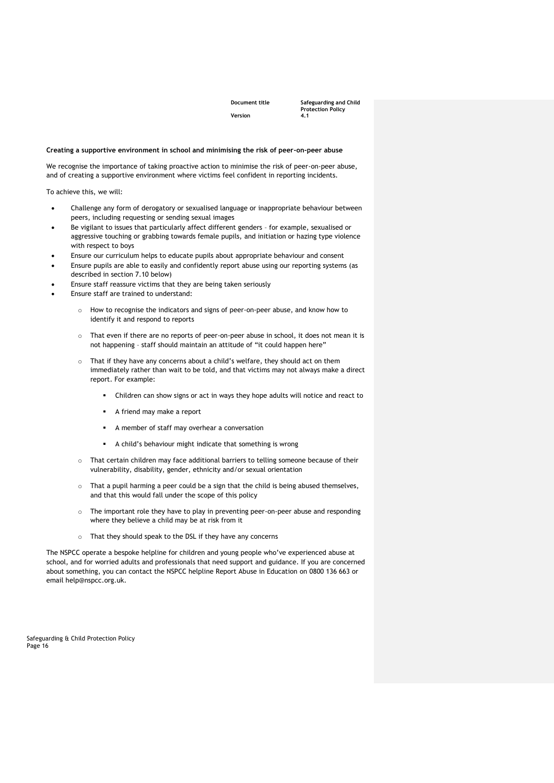**Document title Safeguarding and Child Protection Policy** 

#### **Creating a supportive environment in school and minimising the risk of peer-on-peer abuse**

We recognise the importance of taking proactive action to minimise the risk of peer-on-peer abuse, and of creating a supportive environment where victims feel confident in reporting incidents.

To achieve this, we will:

- Challenge any form of derogatory or sexualised language or inappropriate behaviour between peers, including requesting or sending sexual images
- Be vigilant to issues that particularly affect different genders for example, sexualised or aggressive touching or grabbing towards female pupils, and initiation or hazing type violence with respect to boys
- Ensure our curriculum helps to educate pupils about appropriate behaviour and consent
- Ensure pupils are able to easily and confidently report abuse using our reporting systems (as described in section 7.10 below)
- Ensure staff reassure victims that they are being taken seriously
- Ensure staff are trained to understand:
	- o How to recognise the indicators and signs of peer-on-peer abuse, and know how to identify it and respond to reports
	- o That even if there are no reports of peer-on-peer abuse in school, it does not mean it is not happening – staff should maintain an attitude of "it could happen here"
	- o That if they have any concerns about a child's welfare, they should act on them immediately rather than wait to be told, and that victims may not always make a direct report. For example:
		- Children can show signs or act in ways they hope adults will notice and react to
		- A friend may make a report
		- A member of staff may overhear a conversation
		- A child's behaviour might indicate that something is wrong
	- o That certain children may face additional barriers to telling someone because of their vulnerability, disability, gender, ethnicity and/or sexual orientation
	- $\circ$  That a pupil harming a peer could be a sign that the child is being abused themselves, and that this would fall under the scope of this policy
	- o The important role they have to play in preventing peer-on-peer abuse and responding where they believe a child may be at risk from it
	- o That they should speak to the DSL if they have any concerns

The NSPCC operate a bespoke helpline for children and young people who've experienced abuse at school, and for worried adults and professionals that need support and guidance. If you are concerned about something, you can contact the NSPCC helpline Report Abuse in Education on 0800 136 663 or email help@nspcc.org.uk.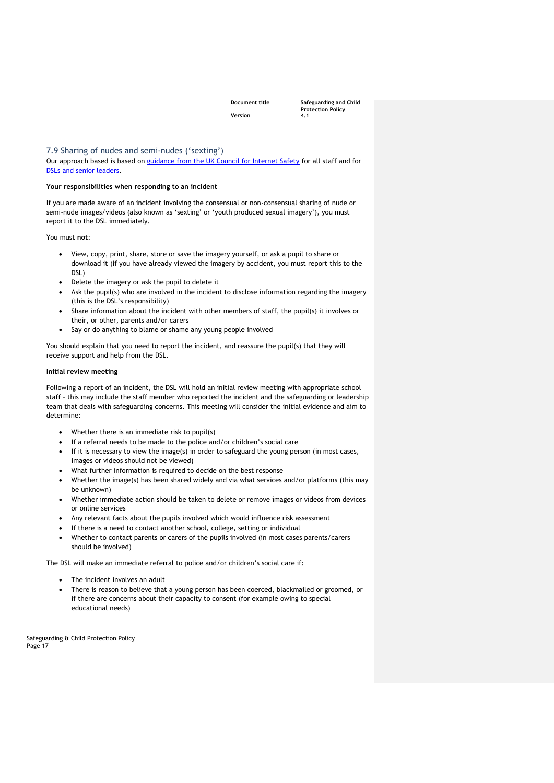**Document title Safeguarding and Child Protection Policy** 

<span id="page-16-0"></span>7.9 Sharing of nudes and semi-nudes ('sexting')

Our approach based is based on [guidance from the UK Council for Internet Safety](https://www.gov.uk/government/publications/sharing-nudes-and-semi-nudes-advice-for-education-settings-working-with-children-and-young-people) for all staff and for [DSLs and senior leaders.](https://assets.publishing.service.gov.uk/government/uploads/system/uploads/attachment_data/file/609874/6_2939_SP_NCA_Sexting_In_Schools_FINAL_Update_Jan17.pdf)

#### **Your responsibilities when responding to an incident**

If you are made aware of an incident involving the consensual or non-consensual sharing of nude or semi-nude images/videos (also known as 'sexting' or 'youth produced sexual imagery'), you must report it to the DSL immediately.

You must **not**:

- View, copy, print, share, store or save the imagery yourself, or ask a pupil to share or download it (if you have already viewed the imagery by accident, you must report this to the DSL)
- Delete the imagery or ask the pupil to delete it
- Ask the pupil(s) who are involved in the incident to disclose information regarding the imagery (this is the DSL's responsibility)
- Share information about the incident with other members of staff, the pupil(s) it involves or their, or other, parents and/or carers
- Say or do anything to blame or shame any young people involved

You should explain that you need to report the incident, and reassure the pupil(s) that they will receive support and help from the DSL.

#### **Initial review meeting**

Following a report of an incident, the DSL will hold an initial review meeting with appropriate school staff – this may include the staff member who reported the incident and the safeguarding or leadership team that deals with safeguarding concerns. This meeting will consider the initial evidence and aim to determine:

- Whether there is an immediate risk to pupil(s)
- If a referral needs to be made to the police and/or children's social care
- If it is necessary to view the image(s) in order to safeguard the young person (in most cases, images or videos should not be viewed)
- What further information is required to decide on the best response
- Whether the image(s) has been shared widely and via what services and/or platforms (this may be unknown)
- Whether immediate action should be taken to delete or remove images or videos from devices or online services
- Any relevant facts about the pupils involved which would influence risk assessment
- If there is a need to contact another school, college, setting or individual
- Whether to contact parents or carers of the pupils involved (in most cases parents/carers should be involved)

The DSL will make an immediate referral to police and/or children's social care if:

- The incident involves an adult
- There is reason to believe that a young person has been coerced, blackmailed or groomed, or if there are concerns about their capacity to consent (for example owing to special educational needs)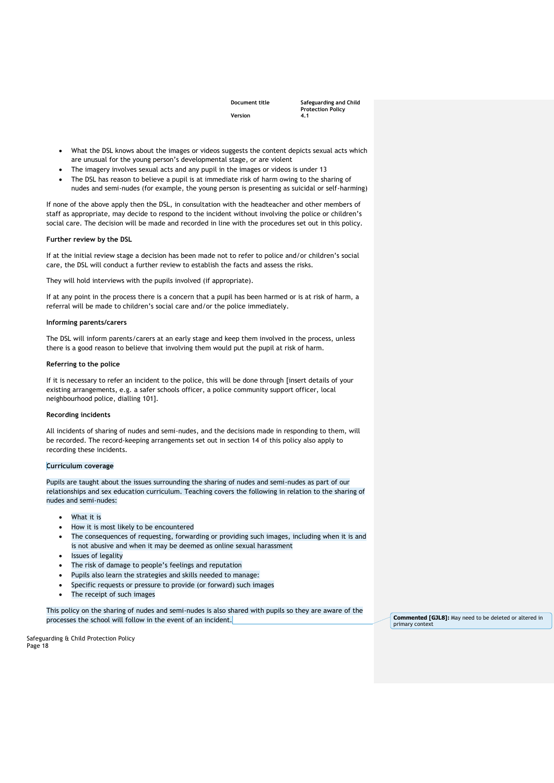**Document title Safeguarding and Child Protection Policy** 

- What the DSL knows about the images or videos suggests the content depicts sexual acts which are unusual for the young person's developmental stage, or are violent
- The imagery involves sexual acts and any pupil in the images or videos is under 13
- The DSL has reason to believe a pupil is at immediate risk of harm owing to the sharing of nudes and semi-nudes (for example, the young person is presenting as suicidal or self-harming)

If none of the above apply then the DSL, in consultation with the headteacher and other members of staff as appropriate, may decide to respond to the incident without involving the police or children's social care. The decision will be made and recorded in line with the procedures set out in this policy.

#### **Further review by the DSL**

If at the initial review stage a decision has been made not to refer to police and/or children's social care, the DSL will conduct a further review to establish the facts and assess the risks.

They will hold interviews with the pupils involved (if appropriate).

If at any point in the process there is a concern that a pupil has been harmed or is at risk of harm, a referral will be made to children's social care and/or the police immediately.

#### **Informing parents/carers**

The DSL will inform parents/carers at an early stage and keep them involved in the process, unless there is a good reason to believe that involving them would put the pupil at risk of harm.

#### **Referring to the police**

If it is necessary to refer an incident to the police, this will be done through [insert details of your existing arrangements, e.g. a safer schools officer, a police community support officer, local neighbourhood police, dialling 101].

#### **Recording incidents**

All incidents of sharing of nudes and semi-nudes, and the decisions made in responding to them, will be recorded. The record-keeping arrangements set out in section 14 of this policy also apply to recording these incidents.

#### **Curriculum coverage**

Pupils are taught about the issues surrounding the sharing of nudes and semi-nudes as part of our relationships and sex education curriculum. Teaching covers the following in relation to the sharing of nudes and semi-nudes:

- What it is
- How it is most likely to be encountered
- The consequences of requesting, forwarding or providing such images, including when it is and is not abusive and when it may be deemed as online sexual harassment
- Issues of legality
- The risk of damage to people's feelings and reputation
- Pupils also learn the strategies and skills needed to manage:
- Specific requests or pressure to provide (or forward) such images
- The receipt of such images

This policy on the sharing of nudes and semi-nudes is also shared with pupils so they are aware of the processes the school will follow in the event of an incident. **Commented [GJL8]:** May need to be deleted or altered in

primary contex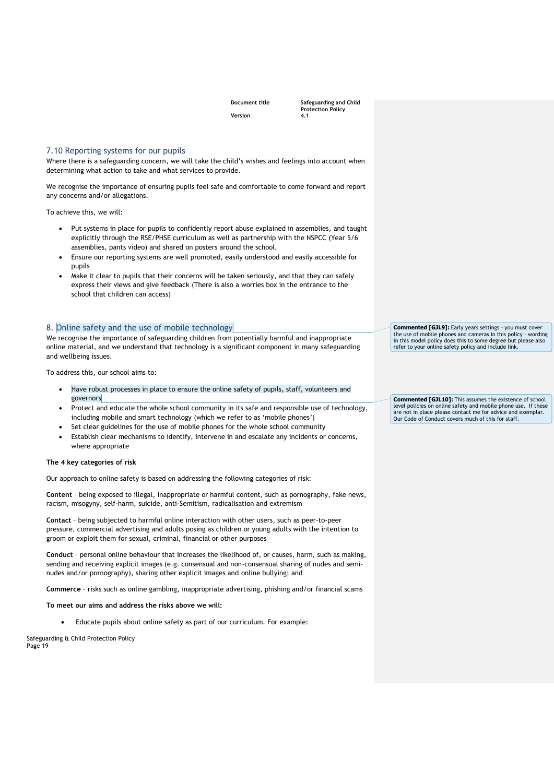**Document title Safeguarding and Child Protection Policy** 

#### <span id="page-18-0"></span>7.10 Reporting systems for our pupils

Where there is a safeguarding concern, we will take the child's wishes and feelings into account when determining what action to take and what services to provide.

We recognise the importance of ensuring pupils feel safe and comfortable to come forward and report any concerns and/or allegations.

To achieve this, we will:

- Put systems in place for pupils to confidently report abuse explained in assemblies, and taught explicitly through the RSE/PHSE curriculum as well as partnership with the NSPCC (Year 5/6 assemblies, pants video) and shared on posters around the school.
- Ensure our reporting systems are well promoted, easily understood and easily accessible for pupils
- Make it clear to pupils that their concerns will be taken seriously, and that they can safely express their views and give feedback (There is also a worries box in the entrance to the school that children can access)

#### <span id="page-18-1"></span>8. Online safety and the use of mobile technology

We recognise the importance of safeguarding children from potentially harmful and inappropriate online material, and we understand that technology is a significant component in many safeguarding and wellbeing issues.

To address this, our school aims to:

- Have robust processes in place to ensure the online safety of pupils, staff, volunteers and governors
- Protect and educate the whole school community in its safe and responsible use of technology, including mobile and smart technology (which we refer to as 'mobile phones')
- Set clear guidelines for the use of mobile phones for the whole school community
- Establish clear mechanisms to identify, intervene in and escalate any incidents or concerns, where appropriate

#### **The 4 key categories of risk**

Our approach to online safety is based on addressing the following categories of risk:

**Content** – being exposed to illegal, inappropriate or harmful content, such as pornography, fake news, racism, misogyny, self-harm, suicide, anti-Semitism, radicalisation and extremism

**Contact** – being subjected to harmful online interaction with other users, such as peer-to-peer pressure, commercial advertising and adults posing as children or young adults with the intention to groom or exploit them for sexual, criminal, financial or other purposes

**Conduct** – personal online behaviour that increases the likelihood of, or causes, harm, such as making, sending and receiving explicit images (e.g. consensual and non-consensual sharing of nudes and seminudes and/or pornography), sharing other explicit images and online bullying; and

**Commerce** – risks such as online gambling, inappropriate advertising, phishing and/or financial scams

**To meet our aims and address the risks above we will:**

• Educate pupils about online safety as part of our curriculum. For example:

Safeguarding & Child Protection Policy Page 19

**Commented [GJL9]:** Early years settings - you must cover the use of mobile phones and cameras in this policy – wording in this model policy does this to some degree but please also refer to your online safety policy and include link.

**Commented [GJL10]:** This assumes the existence of school level policies on online safety and mobile phone use. If these are not in place please contact me for advice and exemplar. Our Code of Conduct covers much of this for staff.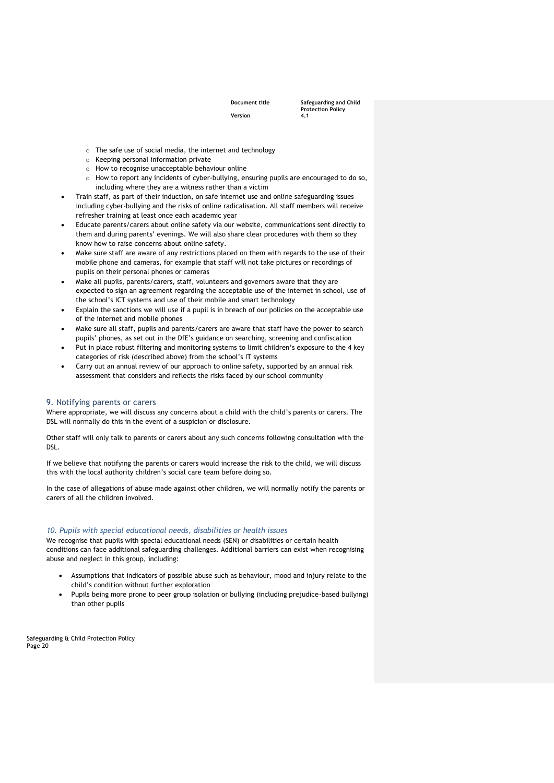**Document title Safeguarding and Child Protection Policy** 

- o The safe use of social media, the internet and technology
- o Keeping personal information private
- o How to recognise unacceptable behaviour online
- o How to report any incidents of cyber-bullying, ensuring pupils are encouraged to do so, including where they are a witness rather than a victim
- Train staff, as part of their induction, on safe internet use and online safeguarding issues including cyber-bullying and the risks of online radicalisation. All staff members will receive refresher training at least once each academic year
- Educate parents/carers about online safety via our website, communications sent directly to them and during parents' evenings. We will also share clear procedures with them so they know how to raise concerns about online safety.
- Make sure staff are aware of any restrictions placed on them with regards to the use of their mobile phone and cameras, for example that staff will not take pictures or recordings of pupils on their personal phones or cameras
- Make all pupils, parents/carers, staff, volunteers and governors aware that they are expected to sign an agreement regarding the acceptable use of the internet in school, use of the school's ICT systems and use of their mobile and smart technology
- Explain the sanctions we will use if a pupil is in breach of our policies on the acceptable use of the internet and mobile phones
- Make sure all staff, pupils and parents/carers are aware that staff have the power to search pupils' phones, as set out in the [DfE's guidance on searching, screening and confiscation](https://www.gov.uk/government/publications/searching-screening-and-confiscation)
- Put in place robust filtering and monitoring systems to limit children's exposure to the 4 key categories of risk (described above) from the school's IT systems
- Carry out an annual review of our approach to online safety, supported by an annual risk assessment that considers and reflects the risks faced by our school community

#### <span id="page-19-0"></span>9. Notifying parents or carers

Where appropriate, we will discuss any concerns about a child with the child's parents or carers. The DSL will normally do this in the event of a suspicion or disclosure.

Other staff will only talk to parents or carers about any such concerns following consultation with the DSL.

If we believe that notifying the parents or carers would increase the risk to the child, we will discuss this with the local authority children's social care team before doing so.

In the case of allegations of abuse made against other children, we will normally notify the parents or carers of all the children involved.

#### *10. Pupils with special educational needs, disabilities or health issues*

We recognise that pupils with special educational needs (SEN) or disabilities or certain health conditions can face additional safeguarding challenges. Additional barriers can exist when recognising abuse and neglect in this group, including:

- Assumptions that indicators of possible abuse such as behaviour, mood and injury relate to the child's condition without further exploration
- Pupils being more prone to peer group isolation or bullying (including prejudice-based bullying) than other pupils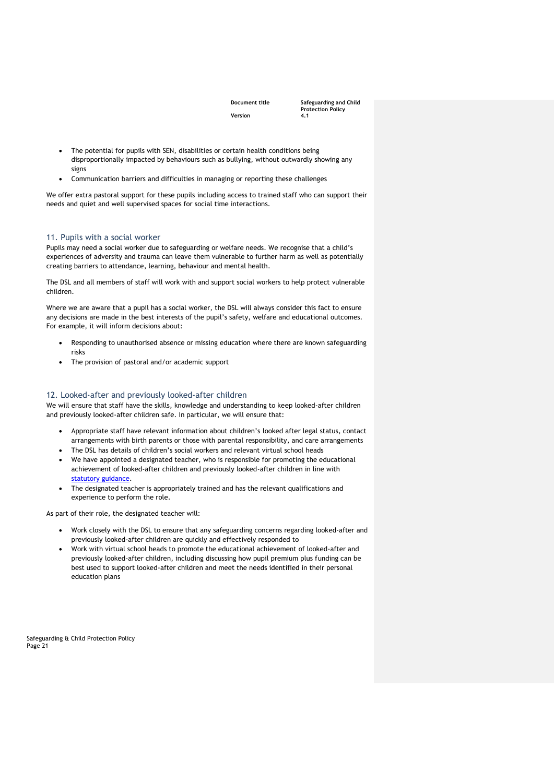**Document title Safeguarding and Child Protection Policy** 

- The potential for pupils with SEN, disabilities or certain health conditions being disproportionally impacted by behaviours such as bullying, without outwardly showing any signs
- Communication barriers and difficulties in managing or reporting these challenges

We offer extra pastoral support for these pupils including access to trained staff who can support their needs and quiet and well supervised spaces for social time interactions.

#### <span id="page-20-0"></span>11. Pupils with a social worker

Pupils may need a social worker due to safeguarding or welfare needs. We recognise that a child's experiences of adversity and trauma can leave them vulnerable to further harm as well as potentially creating barriers to attendance, learning, behaviour and mental health.

The DSL and all members of staff will work with and support social workers to help protect vulnerable children.

Where we are aware that a pupil has a social worker, the DSL will always consider this fact to ensure any decisions are made in the best interests of the pupil's safety, welfare and educational outcomes. For example, it will inform decisions about:

- Responding to unauthorised absence or missing education where there are known safeguarding risks
- The provision of pastoral and/or academic support

#### <span id="page-20-1"></span>12. Looked-after and previously looked-after children

We will ensure that staff have the skills, knowledge and understanding to keep looked-after children and previously looked-after children safe. In particular, we will ensure that:

- Appropriate staff have relevant information about children's looked after legal status, contact arrangements with birth parents or those with parental responsibility, and care arrangements
- The DSL has details of children's social workers and relevant virtual school heads
- We have appointed a designated teacher, who is responsible for promoting the educational achievement of looked-after children and previously looked-after children in line with [statutory guidance.](https://www.gov.uk/government/publications/designated-teacher-for-looked-after-children)
- The designated teacher is appropriately trained and has the relevant qualifications and experience to perform the role.

As part of their role, the designated teacher will:

- Work closely with the DSL to ensure that any safeguarding concerns regarding looked-after and previously looked-after children are quickly and effectively responded to
- Work with virtual school heads to promote the educational achievement of looked-after and previously looked-after children, including discussing how pupil premium plus funding can be best used to support looked-after children and meet the needs identified in their personal education plans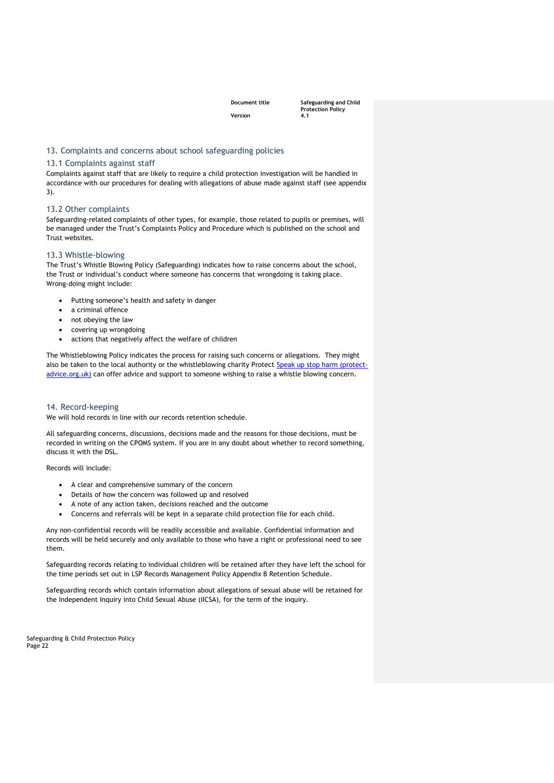**Document title Safeguarding and Child Protection Policy** 

#### <span id="page-21-0"></span>13. Complaints and concerns about school safeguarding policies

#### <span id="page-21-1"></span>13.1 Complaints against staff

Complaints against staff that are likely to require a child protection investigation will be handled in accordance with our procedures for dealing with allegations of abuse made against staff (see appendix 3).

#### <span id="page-21-2"></span>13.2 Other complaints

Safeguarding-related complaints of other types, for example, those related to pupils or premises, will be managed under the Trust's Complaints Policy and Procedure which is published on the school and Trust websites.

#### <span id="page-21-3"></span>13.3 Whistle-blowing

The Trust's Whistle Blowing Policy (Safeguarding) indicates how to raise concerns about the school, the Trust or individual's conduct where someone has concerns that wrongdoing is taking place. Wrong-doing might include:

- Putting someone's health and safety in danger
- a criminal offence
- not obeying the law
- covering up wrongdoing
- actions that negatively affect the welfare of children

The Whistleblowing Policy indicates the process for raising such concerns or allegations. They might also be taken to the local authority or the whistleblowing charity Protect [Speak up stop harm \(protect](https://protect-advice.org.uk/)[advice.org.uk\)](https://protect-advice.org.uk/) can offer advice and support to someone wishing to raise a whistle blowing concern.

#### <span id="page-21-4"></span>14. Record-keeping

We will hold records in line with our records retention schedule.

All safeguarding concerns, discussions, decisions made and the reasons for those decisions, must be recorded in writing on the CPOMS system. If you are in any doubt about whether to record something, discuss it with the DSL.

Records will include:

- A clear and comprehensive summary of the concern
- Details of how the concern was followed up and resolved
- A note of any action taken, decisions reached and the outcome
- Concerns and referrals will be kept in a separate child protection file for each child.

Any non-confidential records will be readily accessible and available. Confidential information and records will be held securely and only available to those who have a right or professional need to see them.

Safeguarding records relating to individual children will be retained after they have left the school for the time periods set out in LSP Records Management Policy Appendix B Retention Schedule.

Safeguarding records which contain information about allegations of sexual abuse will be retained for the Independent Inquiry into Child Sexual Abuse (IICSA), for the term of the inquiry.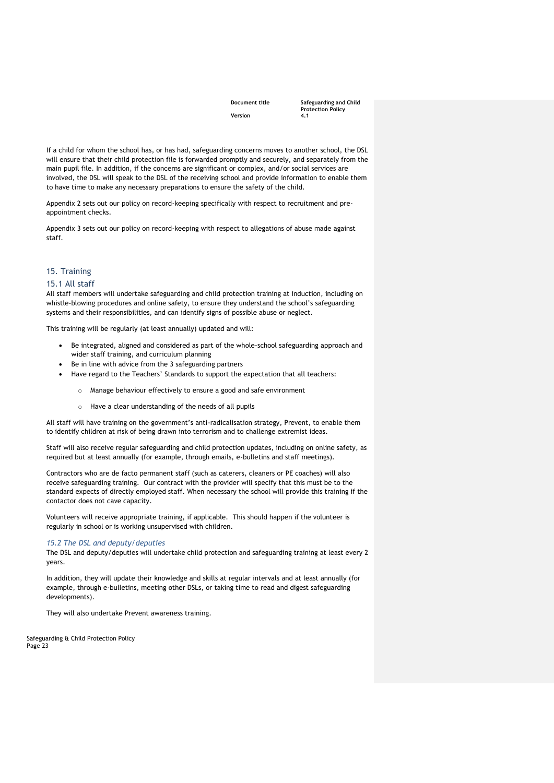**Document title Safeguarding and Child Protection Policy** 

If a child for whom the school has, or has had, safeguarding concerns moves to another school, the DSL will ensure that their child protection file is forwarded promptly and securely, and separately from the main pupil file. In addition, if the concerns are significant or complex, and/or social services are involved, the DSL will speak to the DSL of the receiving school and provide information to enable them to have time to make any necessary preparations to ensure the safety of the child.

Appendix 2 sets out our policy on record-keeping specifically with respect to recruitment and preappointment checks.

Appendix 3 sets out our policy on record-keeping with respect to allegations of abuse made against staff.

### <span id="page-22-0"></span>15. Training

#### <span id="page-22-1"></span>15.1 All staff

All staff members will undertake safeguarding and child protection training at induction, including on whistle-blowing procedures and online safety, to ensure they understand the school's safeguarding systems and their responsibilities, and can identify signs of possible abuse or neglect.

This training will be regularly (at least annually) updated and will:

- Be integrated, aligned and considered as part of the whole-school safeguarding approach and wider staff training, and curriculum planning
- Be in line with advice from the 3 safeguarding partners
- Have regard to the Teachers' Standards to support the expectation that all teachers:
	- o Manage behaviour effectively to ensure a good and safe environment
	- o Have a clear understanding of the needs of all pupils

All staff will have training on the government's anti-radicalisation strategy, Prevent, to enable them to identify children at risk of being drawn into terrorism and to challenge extremist ideas.

Staff will also receive regular safeguarding and child protection updates, including on online safety, as required but at least annually (for example, through emails, e-bulletins and staff meetings).

Contractors who are de facto permanent staff (such as caterers, cleaners or PE coaches) will also receive safeguarding training. Our contract with the provider will specify that this must be to the standard expects of directly employed staff. When necessary the school will provide this training if the contactor does not cave capacity.

Volunteers will receive appropriate training, if applicable. This should happen if the volunteer is regularly in school or is working unsupervised with children.

#### *15.2 The DSL and deputy/deputies*

The DSL and deputy/deputies will undertake child protection and safeguarding training at least every 2 years.

In addition, they will update their knowledge and skills at regular intervals and at least annually (for example, through e-bulletins, meeting other DSLs, or taking time to read and digest safeguarding developments).

They will also undertake Prevent awareness training.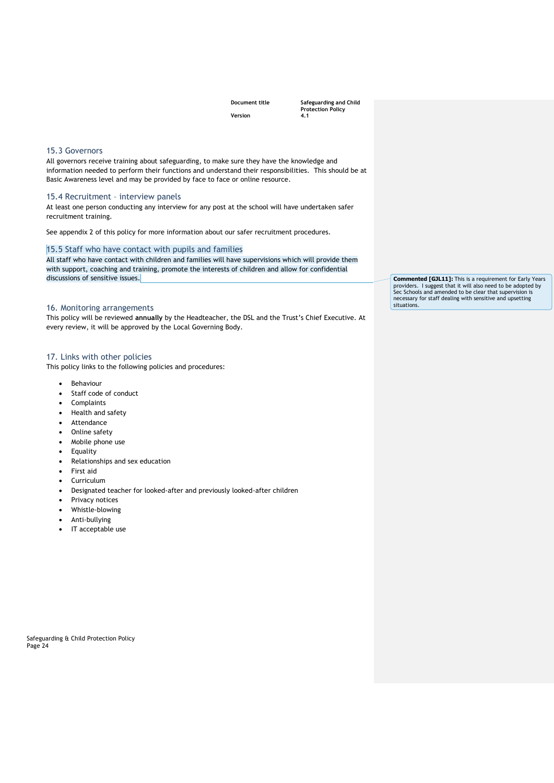**Document title Safeguarding and Child Protection Policy** 

#### <span id="page-23-0"></span>15.3 Governors

All governors receive training about safeguarding, to make sure they have the knowledge and information needed to perform their functions and understand their responsibilities. This should be at Basic Awareness level and may be provided by face to face or online resource.

#### <span id="page-23-1"></span>15.4 Recruitment – interview panels

At least one person conducting any interview for any post at the school will have undertaken safer recruitment training.

See appendix 2 of this policy for more information about our safer recruitment procedures.

### <span id="page-23-2"></span>15.5 Staff who have contact with pupils and families

All staff who have contact with children and families will have supervisions which will provide them with support, coaching and training, promote the interests of children and allow for confidential discussions of sensitive issues.

#### <span id="page-23-3"></span>16. Monitoring arrangements

This policy will be reviewed **annually** by the Headteacher, the DSL and the Trust's Chief Executive. At every review, it will be approved by the Local Governing Body.

#### <span id="page-23-4"></span>17. Links with other policies

This policy links to the following policies and procedures:

- Behaviour
- Staff code of conduct
- Complaints
- Health and safety
- Attendance
- Online safety
- Mobile phone use
- Equality
- Relationships and sex education
- First aid
- Curriculum
- Designated teacher for looked-after and previously looked-after children
- Privacy notices
- Whistle-blowing
- Anti-bullying
- IT acceptable use

Safeguarding & Child Protection Policy Page 24

**Commented [GJL11]:** This is a requirement for Early Years providers. I suggest that it will also need to be adopted by Sec Schools and amended to be clear that supervision is necessary for staff dealing with sensitive and upsetting situations.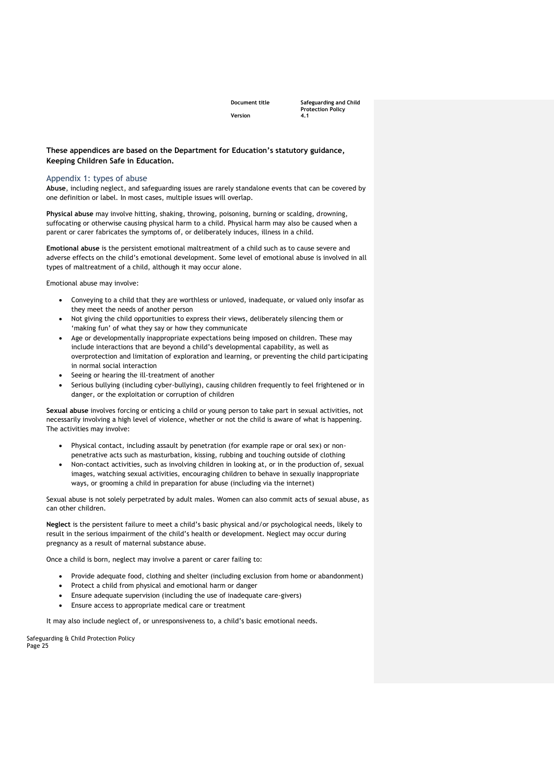**Document title Safeguarding and Child Protection Policy** 

#### **These appendices are based on the Department for Education's statutory guidance, Keeping Children Safe in Education.**

#### <span id="page-24-0"></span>Appendix 1: types of abuse

**Abuse**, including neglect, and safeguarding issues are rarely standalone events that can be covered by one definition or label. In most cases, multiple issues will overlap.

**Physical abuse** may involve hitting, shaking, throwing, poisoning, burning or scalding, drowning, suffocating or otherwise causing physical harm to a child. Physical harm may also be caused when a parent or carer fabricates the symptoms of, or deliberately induces, illness in a child.

**Emotional abuse** is the persistent emotional maltreatment of a child such as to cause severe and adverse effects on the child's emotional development. Some level of emotional abuse is involved in all types of maltreatment of a child, although it may occur alone.

Emotional abuse may involve:

- Conveying to a child that they are worthless or unloved, inadequate, or valued only insofar as they meet the needs of another person
- Not giving the child opportunities to express their views, deliberately silencing them or 'making fun' of what they say or how they communicate
- Age or developmentally inappropriate expectations being imposed on children. These may include interactions that are beyond a child's developmental capability, as well as overprotection and limitation of exploration and learning, or preventing the child participating in normal social interaction
- Seeing or hearing the ill-treatment of another
- Serious bullying (including cyber-bullying), causing children frequently to feel frightened or in danger, or the exploitation or corruption of children

**Sexual abuse** involves forcing or enticing a child or young person to take part in sexual activities, not necessarily involving a high level of violence, whether or not the child is aware of what is happening. The activities may involve:

- Physical contact, including assault by penetration (for example rape or oral sex) or nonpenetrative acts such as masturbation, kissing, rubbing and touching outside of clothing
- Non-contact activities, such as involving children in looking at, or in the production of, sexual images, watching sexual activities, encouraging children to behave in sexually inappropriate ways, or grooming a child in preparation for abuse (including via the internet)

Sexual abuse is not solely perpetrated by adult males. Women can also commit acts of sexual abuse, as can other children.

**Neglect** is the persistent failure to meet a child's basic physical and/or psychological needs, likely to result in the serious impairment of the child's health or development. Neglect may occur during pregnancy as a result of maternal substance abuse.

Once a child is born, neglect may involve a parent or carer failing to:

- Provide adequate food, clothing and shelter (including exclusion from home or abandonment)
- Protect a child from physical and emotional harm or danger
- Ensure adequate supervision (including the use of inadequate care-givers)
- Ensure access to appropriate medical care or treatment

It may also include neglect of, or unresponsiveness to, a child's basic emotional needs.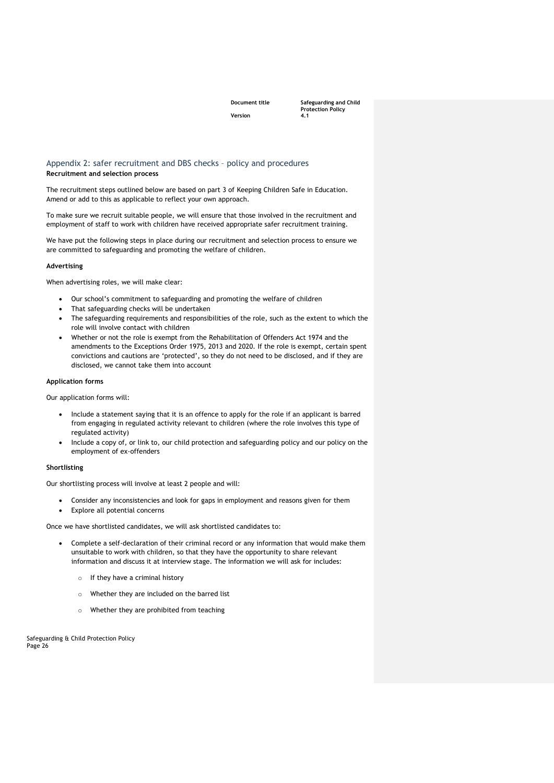**Document title Safeguarding and Child Protection Policy** 

#### <span id="page-25-0"></span>Appendix 2: safer recruitment and DBS checks – policy and procedures **Recruitment and selection process**

The recruitment steps outlined below are based on part 3 of Keeping Children Safe in Education. Amend or add to this as applicable to reflect your own approach.

To make sure we recruit suitable people, we will ensure that those involved in the recruitment and employment of staff to work with children have received appropriate safer recruitment training.

We have put the following steps in place during our recruitment and selection process to ensure we are committed to safeguarding and promoting the welfare of children.

#### **Advertising**

When advertising roles, we will make clear:

- Our school's commitment to safeguarding and promoting the welfare of children
- That safeguarding checks will be undertaken
- The safeguarding requirements and responsibilities of the role, such as the extent to which the role will involve contact with children
- Whether or not the role is exempt from the Rehabilitation of Offenders Act 1974 and the amendments to the Exceptions Order 1975, 2013 and 2020. If the role is exempt, certain spent convictions and cautions are 'protected', so they do not need to be disclosed, and if they are disclosed, we cannot take them into account

#### **Application forms**

Our application forms will:

- Include a statement saying that it is an offence to apply for the role if an applicant is barred from engaging in regulated activity relevant to children (where the role involves this type of regulated activity)
- Include a copy of, or link to, our child protection and safeguarding policy and our policy on the employment of ex-offenders

#### **Shortlisting**

Our shortlisting process will involve at least 2 people and will:

- Consider any inconsistencies and look for gaps in employment and reasons given for them
- Explore all potential concerns

Once we have shortlisted candidates, we will ask shortlisted candidates to:

- Complete a self-declaration of their criminal record or any information that would make them unsuitable to work with children, so that they have the opportunity to share relevant information and discuss it at interview stage. The information we will ask for includes:
	- o If they have a criminal history
	- o Whether they are included on the barred list
	- o Whether they are prohibited from teaching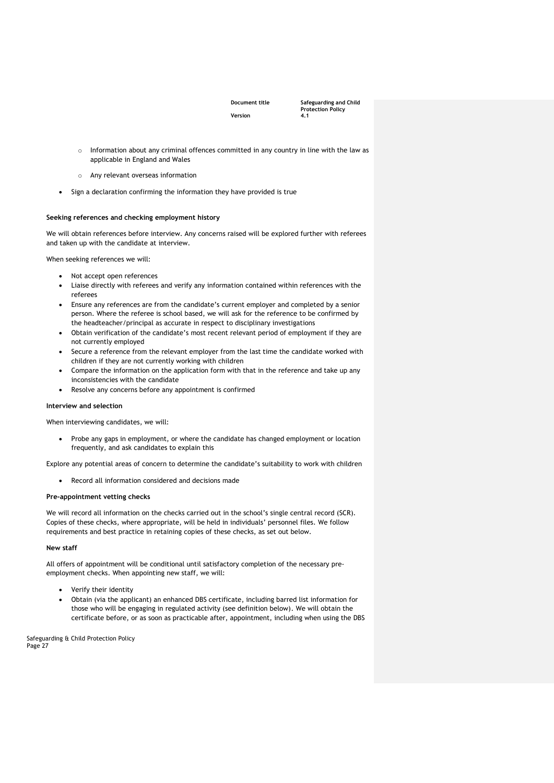**Document title Safeguarding and Child Protection Policy** 

- o Information about any criminal offences committed in any country in line with the law as applicable in England and Wales
- o Any relevant overseas information
- Sign a declaration confirming the information they have provided is true

#### **Seeking references and checking employment history**

We will obtain references before interview. Any concerns raised will be explored further with referees and taken up with the candidate at interview.

When seeking references we will:

- Not accept open references
- Liaise directly with referees and verify any information contained within references with the referees
- Ensure any references are from the candidate's current employer and completed by a senior person. Where the referee is school based, we will ask for the reference to be confirmed by the headteacher/principal as accurate in respect to disciplinary investigations
- Obtain verification of the candidate's most recent relevant period of employment if they are not currently employed
- Secure a reference from the relevant employer from the last time the candidate worked with children if they are not currently working with children
- Compare the information on the application form with that in the reference and take up any inconsistencies with the candidate
- Resolve any concerns before any appointment is confirmed

#### **Interview and selection**

When interviewing candidates, we will:

• Probe any gaps in employment, or where the candidate has changed employment or location frequently, and ask candidates to explain this

Explore any potential areas of concern to determine the candidate's suitability to work with children

Record all information considered and decisions made

#### **Pre-appointment vetting checks**

We will record all information on the checks carried out in the school's single central record (SCR). Copies of these checks, where appropriate, will be held in individuals' personnel files. We follow requirements and best practice in retaining copies of these checks, as set out below.

#### **New staff**

All offers of appointment will be conditional until satisfactory completion of the necessary preemployment checks. When appointing new staff, we will:

- Verify their identity
- Obtain (via the applicant) an enhanced DBS certificate, including barred list information for those who will be engaging in regulated activity (see definition below). We will obtain the certificate before, or as soon as practicable after, appointment, including when using the DBS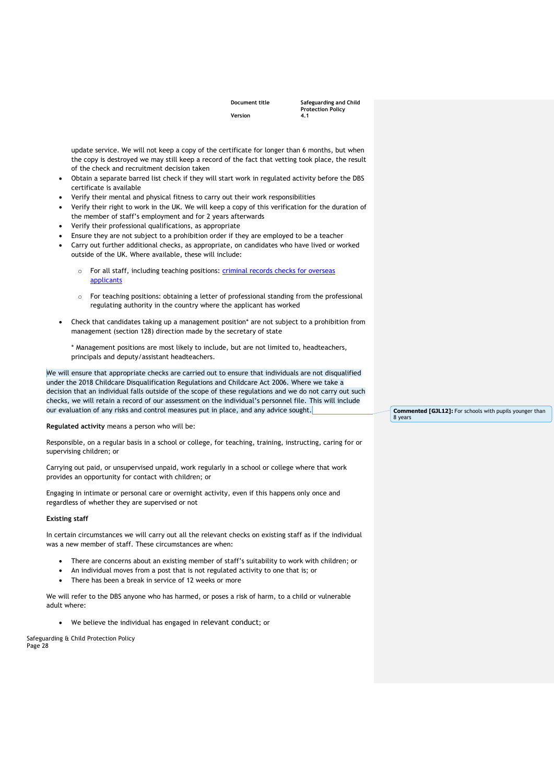| <b>DOCUMENT TIT</b> |  |  |
|---------------------|--|--|
| Version             |  |  |

**Document title Safeguarding and Child Protection Policy** 

update service. We will not keep a copy of the certificate for longer than 6 months, but when the copy is destroyed we may still keep a record of the fact that vetting took place, the result of the check and recruitment decision taken

- Obtain a separate barred list check if they will start work in regulated activity before the DBS certificate is available
- Verify their mental and physical fitness to carry out their work responsibilities
- Verify their right to work in the UK. We will keep a copy of this verification for the duration of the member of staff's employment and for 2 years afterwards
- Verify their professional qualifications, as appropriate
- Ensure they are not subject to a prohibition order if they are employed to be a teacher
- Carry out further additional checks, as appropriate, on candidates who have lived or worked outside of the UK. Where available, these will include:
	- For all staff, including teaching positions: criminal records checks for overseas [applicants](https://www.gov.uk/government/publications/criminal-records-checks-for-overseas-applicants)
	- o For teaching positions: obtaining a letter of professional standing from the professional regulating authority in the country where the applicant has worked
- Check that candidates taking up a management position\* are not subject to a prohibition from management (section 128) direction made by the secretary of state

\* Management positions are most likely to include, but are not limited to, headteachers, principals and deputy/assistant headteachers.

We will ensure that appropriate checks are carried out to ensure that individuals are not disqualified under the 2018 Childcare Disqualification Regulations and Childcare Act 2006. Where we take a decision that an individual falls outside of the scope of these regulations and we do not carry out such checks, we will retain a record of our assessment on the individual's personnel file. This will include our evaluation of any risks and control measures put in place, and any advice sought.

**Regulated activity** means a person who will be:

Responsible, on a regular basis in a school or college, for teaching, training, instructing, caring for or supervising children; or

Carrying out paid, or unsupervised unpaid, work regularly in a school or college where that work provides an opportunity for contact with children; or

Engaging in intimate or personal care or overnight activity, even if this happens only once and regardless of whether they are supervised or not

#### **Existing staff**

In certain circumstances we will carry out all the relevant checks on existing staff as if the individual was a new member of staff. These circumstances are when:

- There are concerns about an existing member of staff's suitability to work with children; or
- An individual moves from a post that is not regulated activity to one that is; or
- There has been a break in service of 12 weeks or more

We will refer to the DBS anyone who has harmed, or poses a risk of harm, to a child or vulnerable adult where:

• We believe the individual has engaged in [relevant conduct](https://www.gov.uk/guidance/making-barring-referrals-to-the-dbs#relevant-conduct-in-relation-to-children); or

Safeguarding & Child Protection Policy Page 28

**Commented [GJL12]:** For schools with pupils younger than 8 years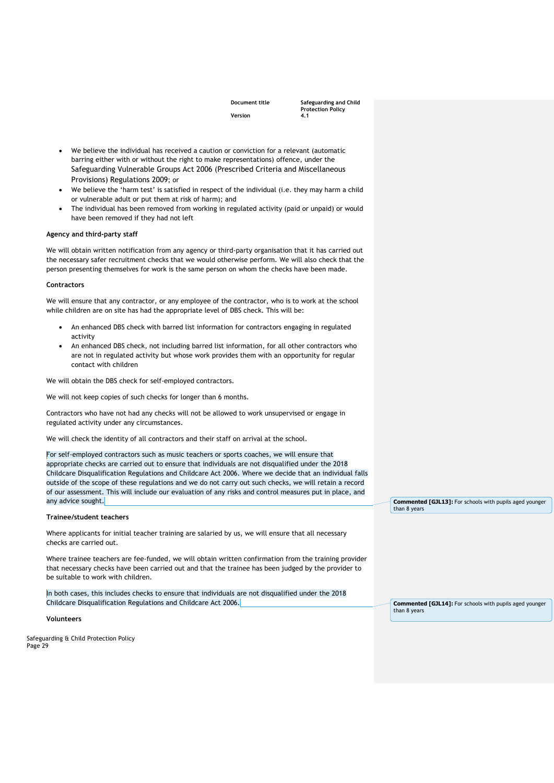**Document title Safeguarding and Child Protection Policy** 

- We believe the individual has received a caution or conviction for a relevant (automatic barring either with or without the right to make representations) offence, under the [Safeguarding Vulnerable Groups Act 2006 \(Prescribed Criteria and Miscellaneous](http://www.legislation.gov.uk/uksi/2009/37/contents/made)  [Provisions\) Regulations 2009](http://www.legislation.gov.uk/uksi/2009/37/contents/made); or
- We believe the 'harm test' is satisfied in respect of the individual (i.e. they may harm a child or vulnerable adult or put them at risk of harm); and
- The individual has been removed from working in regulated activity (paid or unpaid) or would have been removed if they had not left

#### **Agency and third-party staff**

We will obtain written notification from any agency or third-party organisation that it has carried out the necessary safer recruitment checks that we would otherwise perform. We will also check that the person presenting themselves for work is the same person on whom the checks have been made.

#### **Contractors**

We will ensure that any contractor, or any employee of the contractor, who is to work at the school while children are on site has had the appropriate level of DBS check. This will be:

- An enhanced DBS check with barred list information for contractors engaging in regulated activity
- An enhanced DBS check, not including barred list information, for all other contractors who are not in regulated activity but whose work provides them with an opportunity for regular contact with children

We will obtain the DBS check for self-employed contractors.

We will not keep copies of such checks for longer than 6 months.

Contractors who have not had any checks will not be allowed to work unsupervised or engage in regulated activity under any circumstances.

We will check the identity of all contractors and their staff on arrival at the school.

For self-employed contractors such as music teachers or sports coaches, we will ensure that appropriate checks are carried out to ensure that individuals are not disqualified under the 2018 Childcare Disqualification Regulations and Childcare Act 2006. Where we decide that an individual falls outside of the scope of these regulations and we do not carry out such checks, we will retain a record of our assessment. This will include our evaluation of any risks and control measures put in place, and any advice sought.

#### **Trainee/student teachers**

Where applicants for initial teacher training are salaried by us, we will ensure that all necessary checks are carried out.

Where trainee teachers are fee-funded, we will obtain written confirmation from the training provider that necessary checks have been carried out and that the trainee has been judged by the provider to be suitable to work with children.

In both cases, this includes checks to ensure that individuals are not disqualified under the 2018 Childcare Disqualification Regulations and Childcare Act 2006.

**Volunteers**

Safeguarding & Child Protection Policy Page 29

**Commented [GJL13]:** For schools with pupils aged younger than 8 years

**Commented [GJL14]:** For schools with pupils aged younger than 8 years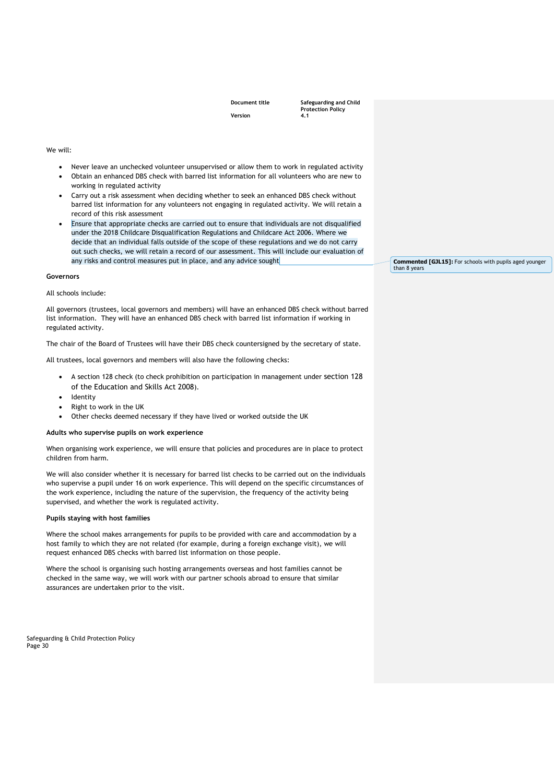**Document title Safeguarding and Child Protection Policy** 

#### We will:

- Never leave an unchecked volunteer unsupervised or allow them to work in regulated activity
- Obtain an enhanced DBS check with barred list information for all volunteers who are new to working in regulated activity
- Carry out a risk assessment when deciding whether to seek an enhanced DBS check without barred list information for any volunteers not engaging in regulated activity. We will retain a record of this risk assessment
- Ensure that appropriate checks are carried out to ensure that individuals are not disqualified under the 2018 Childcare Disqualification Regulations and Childcare Act 2006. Where we decide that an individual falls outside of the scope of these regulations and we do not carry out such checks, we will retain a record of our assessment. This will include our evaluation of any risks and control measures put in place, and any advice sought

#### **Governors**

#### All schools include:

All governors (trustees, local governors and members) will have an enhanced DBS check without barred list information. They will have an enhanced DBS check with barred list information if working in regulated activity.

The chair of the Board of Trustees will have their DBS check countersigned by the secretary of state.

All trustees, local governors and members will also have the following checks:

- A section 128 check (to check prohibition on participation in management under [section 128](https://www.legislation.gov.uk/ukpga/2008/25/section/128)  [of the Education and Skills Act 2008](https://www.legislation.gov.uk/ukpga/2008/25/section/128)).
- **Identity**
- Right to work in the UK
- Other checks deemed necessary if they have lived or worked outside the UK

#### **Adults who supervise pupils on work experience**

When organising work experience, we will ensure that policies and procedures are in place to protect children from harm.

We will also consider whether it is necessary for barred list checks to be carried out on the individuals who supervise a pupil under 16 on work experience. This will depend on the specific circumstances of the work experience, including the nature of the supervision, the frequency of the activity being supervised, and whether the work is regulated activity.

#### **Pupils staying with host families**

Where the school makes arrangements for pupils to be provided with care and accommodation by a host family to which they are not related (for example, during a foreign exchange visit), we will request enhanced DBS checks with barred list information on those people.

Where the school is organising such hosting arrangements overseas and host families cannot be checked in the same way, we will work with our partner schools abroad to ensure that similar assurances are undertaken prior to the visit.

Safeguarding & Child Protection Policy Page 30

**Commented [GJL15]:** For schools with pupils aged younger than 8 years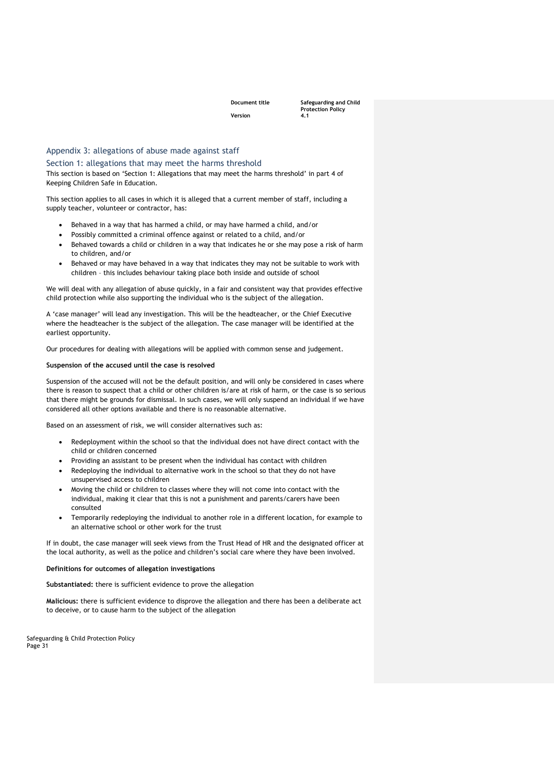**Document title Safeguarding and Child Protection Policy** 

#### <span id="page-30-0"></span>Appendix 3: allegations of abuse made against staff

#### <span id="page-30-1"></span>Section 1: allegations that may meet the harms threshold

This section is based on 'Section 1: Allegations that may meet the harms threshold' in part 4 of Keeping Children Safe in Education.

This section applies to all cases in which it is alleged that a current member of staff, including a supply teacher, volunteer or contractor, has:

- Behaved in a way that has harmed a child, or may have harmed a child, and/or
- Possibly committed a criminal offence against or related to a child, and/or
- Behaved towards a child or children in a way that indicates he or she may pose a risk of harm to children, and/or
- Behaved or may have behaved in a way that indicates they may not be suitable to work with children – this includes behaviour taking place both inside and outside of school

We will deal with any allegation of abuse quickly, in a fair and consistent way that provides effective child protection while also supporting the individual who is the subject of the allegation.

A 'case manager' will lead any investigation. This will be the headteacher, or the Chief Executive where the headteacher is the subject of the allegation. The case manager will be identified at the earliest opportunity.

Our procedures for dealing with allegations will be applied with common sense and judgement.

#### **Suspension of the accused until the case is resolved**

Suspension of the accused will not be the default position, and will only be considered in cases where there is reason to suspect that a child or other children is/are at risk of harm, or the case is so serious that there might be grounds for dismissal. In such cases, we will only suspend an individual if we have considered all other options available and there is no reasonable alternative.

Based on an assessment of risk, we will consider alternatives such as:

- Redeployment within the school so that the individual does not have direct contact with the child or children concerned
- Providing an assistant to be present when the individual has contact with children
- Redeploying the individual to alternative work in the school so that they do not have unsupervised access to children
- Moving the child or children to classes where they will not come into contact with the individual, making it clear that this is not a punishment and parents/carers have been consulted
- Temporarily redeploying the individual to another role in a different location, for example to an alternative school or other work for the trust

If in doubt, the case manager will seek views from the Trust Head of HR and the designated officer at the local authority, as well as the police and children's social care where they have been involved.

#### **Definitions for outcomes of allegation investigations**

**Substantiated:** there is sufficient evidence to prove the allegation

**Malicious:** there is sufficient evidence to disprove the allegation and there has been a deliberate act to deceive, or to cause harm to the subject of the allegation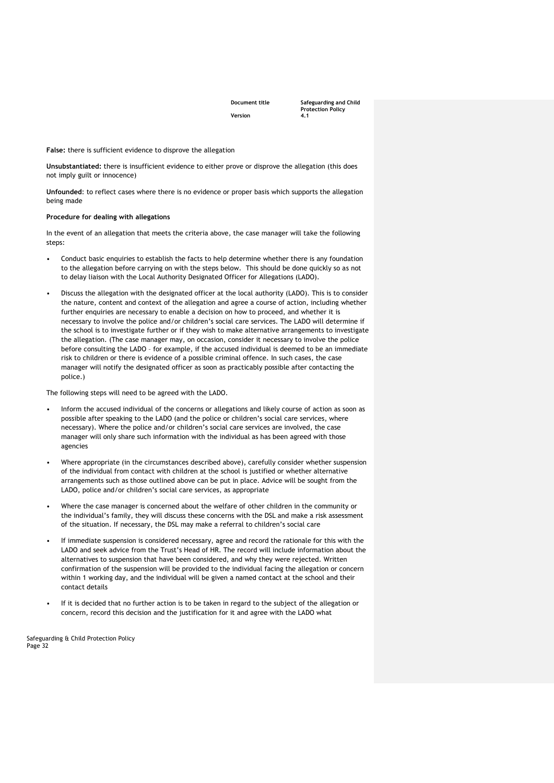**Document title Safeguarding and Child Protection Policy** 

**False:** there is sufficient evidence to disprove the allegation

**Unsubstantiated:** there is insufficient evidence to either prove or disprove the allegation (this does not imply guilt or innocence)

**Unfounded**: to reflect cases where there is no evidence or proper basis which supports the allegation being made

#### **Procedure for dealing with allegations**

In the event of an allegation that meets the criteria above, the case manager will take the following steps:

- Conduct basic enquiries to establish the facts to help determine whether there is any foundation to the allegation before carrying on with the steps below. This should be done quickly so as not to delay liaison with the Local Authority Designated Officer for Allegations (LADO).
- Discuss the allegation with the designated officer at the local authority (LADO). This is to consider the nature, content and context of the allegation and agree a course of action, including whether further enquiries are necessary to enable a decision on how to proceed, and whether it is necessary to involve the police and/or children's social care services. The LADO will determine if the school is to investigate further or if they wish to make alternative arrangements to investigate the allegation. (The case manager may, on occasion, consider it necessary to involve the police before consulting the LADO – for example, if the accused individual is deemed to be an immediate risk to children or there is evidence of a possible criminal offence. In such cases, the case manager will notify the designated officer as soon as practicably possible after contacting the police.)

The following steps will need to be agreed with the LADO.

- Inform the accused individual of the concerns or allegations and likely course of action as soon as possible after speaking to the LADO (and the police or children's social care services, where necessary). Where the police and/or children's social care services are involved, the case manager will only share such information with the individual as has been agreed with those agencies
- Where appropriate (in the circumstances described above), carefully consider whether suspension of the individual from contact with children at the school is justified or whether alternative arrangements such as those outlined above can be put in place. Advice will be sought from the LADO, police and/or children's social care services, as appropriate
- Where the case manager is concerned about the welfare of other children in the community or the individual's family, they will discuss these concerns with the DSL and make a risk assessment of the situation. If necessary, the DSL may make a referral to children's social care
- If immediate suspension is considered necessary, agree and record the rationale for this with the LADO and seek advice from the Trust's Head of HR. The record will include information about the alternatives to suspension that have been considered, and why they were rejected. Written confirmation of the suspension will be provided to the individual facing the allegation or concern within 1 working day, and the individual will be given a named contact at the school and their contact details
- If it is decided that no further action is to be taken in regard to the subject of the allegation or concern, record this decision and the justification for it and agree with the LADO what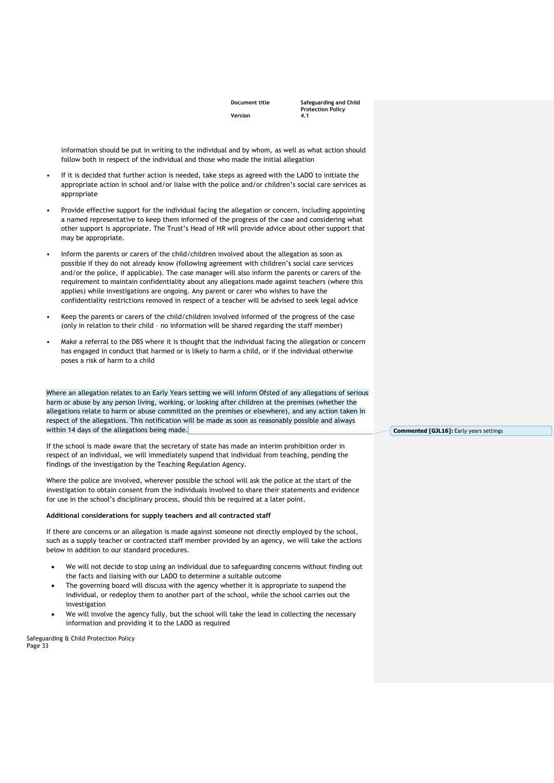**Document title Safeguarding and Child Protection Policy** 

information should be put in writing to the individual and by whom, as well as what action should follow both in respect of the individual and those who made the initial allegation

- If it is decided that further action is needed, take steps as agreed with the LADO to initiate the appropriate action in school and/or liaise with the police and/or children's social care services as appropriate
- Provide effective support for the individual facing the allegation or concern, including appointing a named representative to keep them informed of the progress of the case and considering what other support is appropriate. The Trust's Head of HR will provide advice about other support that may be appropriate.
- Inform the parents or carers of the child/children involved about the allegation as soon as possible if they do not already know (following agreement with children's social care services and/or the police, if applicable). The case manager will also inform the parents or carers of the requirement to maintain confidentiality about any allegations made against teachers (where this applies) while investigations are ongoing. Any parent or carer who wishes to have the confidentiality restrictions removed in respect of a teacher will be advised to seek legal advice
- Keep the parents or carers of the child/children involved informed of the progress of the case (only in relation to their child – no information will be shared regarding the staff member)
- Make a referral to the DBS where it is thought that the individual facing the allegation or concern has engaged in conduct that harmed or is likely to harm a child, or if the individual otherwise poses a risk of harm to a child

Where an allegation relates to an Early Years setting we will inform Ofsted of any allegations of serious harm or abuse by any person living, working, or looking after children at the premises (whether the allegations relate to harm or abuse committed on the premises or elsewhere), and any action taken in respect of the allegations. This notification will be made as soon as reasonably possible and always within 14 days of the allegations being made.

If the school is made aware that the secretary of state has made an interim prohibition order in respect of an individual, we will immediately suspend that individual from teaching, pending the findings of the investigation by the Teaching Regulation Agency.

Where the police are involved, wherever possible the school will ask the police at the start of the investigation to obtain consent from the individuals involved to share their statements and evidence for use in the school's disciplinary process, should this be required at a later point.

#### **Additional considerations for supply teachers and all contracted staff**

If there are concerns or an allegation is made against someone not directly employed by the school, such as a supply teacher or contracted staff member provided by an agency, we will take the actions below in addition to our standard procedures.

- We will not decide to stop using an individual due to safeguarding concerns without finding out the facts and liaising with our LADO to determine a suitable outcome
- The governing board will discuss with the agency whether it is appropriate to suspend the individual, or redeploy them to another part of the school, while the school carries out the investigation
- We will involve the agency fully, but the school will take the lead in collecting the necessary information and providing it to the LADO as required

Safeguarding & Child Protection Policy Page 33

**Commented [GJL16]:** Early years settings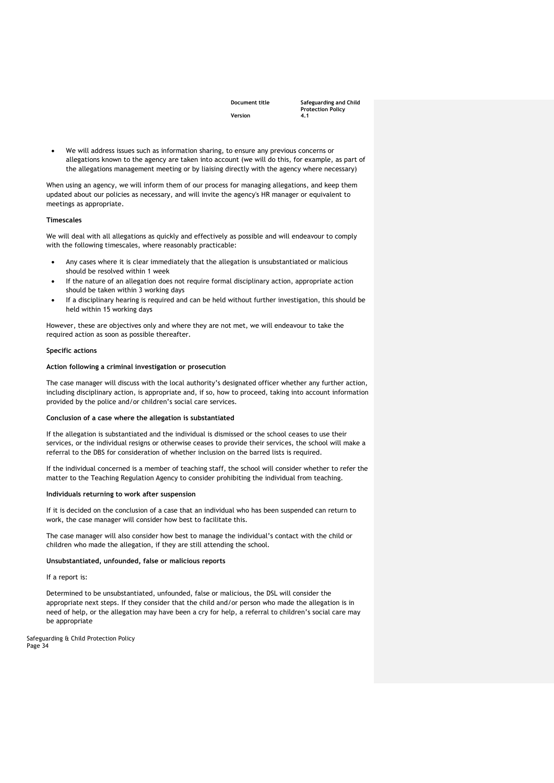**Document title Safeguarding and Child Protection Policy** 

We will address issues such as information sharing, to ensure any previous concerns or allegations known to the agency are taken into account (we will do this, for example, as part of the allegations management meeting or by liaising directly with the agency where necessary)

When using an agency, we will inform them of our process for managing allegations, and keep them updated about our policies as necessary, and will invite the agency's HR manager or equivalent to meetings as appropriate.

#### **Timescales**

We will deal with all allegations as quickly and effectively as possible and will endeavour to comply with the following timescales, where reasonably practicable:

- Any cases where it is clear immediately that the allegation is unsubstantiated or malicious should be resolved within 1 week
- If the nature of an allegation does not require formal disciplinary action, appropriate action should be taken within 3 working days
- If a disciplinary hearing is required and can be held without further investigation, this should be held within 15 working days

However, these are objectives only and where they are not met, we will endeavour to take the required action as soon as possible thereafter.

#### **Specific actions**

#### **Action following a criminal investigation or prosecution**

The case manager will discuss with the local authority's designated officer whether any further action, including disciplinary action, is appropriate and, if so, how to proceed, taking into account information provided by the police and/or children's social care services.

#### **Conclusion of a case where the allegation is substantiated**

If the allegation is substantiated and the individual is dismissed or the school ceases to use their services, or the individual resigns or otherwise ceases to provide their services, the school will make a referral to the DBS for consideration of whether inclusion on the barred lists is required.

If the individual concerned is a member of teaching staff, the school will consider whether to refer the matter to the Teaching Regulation Agency to consider prohibiting the individual from teaching.

#### **Individuals returning to work after suspension**

If it is decided on the conclusion of a case that an individual who has been suspended can return to work, the case manager will consider how best to facilitate this.

The case manager will also consider how best to manage the individual's contact with the child or children who made the allegation, if they are still attending the school.

#### **Unsubstantiated, unfounded, false or malicious reports**

If a report is:

Determined to be unsubstantiated, unfounded, false or malicious, the DSL will consider the appropriate next steps. If they consider that the child and/or person who made the allegation is in need of help, or the allegation may have been a cry for help, a referral to children's social care may be appropriate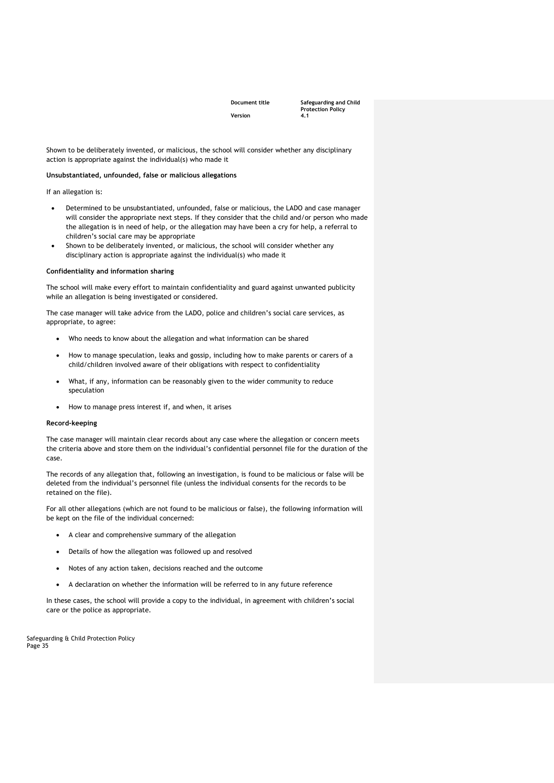**Document title Safeguarding and Child Protection Policy** 

Shown to be deliberately invented, or malicious, the school will consider whether any disciplinary action is appropriate against the individual(s) who made it

#### **Unsubstantiated, unfounded, false or malicious allegations**

If an allegation is:

- Determined to be unsubstantiated, unfounded, false or malicious, the LADO and case manager will consider the appropriate next steps. If they consider that the child and/or person who made the allegation is in need of help, or the allegation may have been a cry for help, a referral to children's social care may be appropriate
- Shown to be deliberately invented, or malicious, the school will consider whether any disciplinary action is appropriate against the individual(s) who made it

#### **Confidentiality and information sharing**

The school will make every effort to maintain confidentiality and guard against unwanted publicity while an allegation is being investigated or considered.

The case manager will take advice from the LADO, police and children's social care services, as appropriate, to agree:

- Who needs to know about the allegation and what information can be shared
- How to manage speculation, leaks and gossip, including how to make parents or carers of a child/children involved aware of their obligations with respect to confidentiality
- What, if any, information can be reasonably given to the wider community to reduce speculation
- How to manage press interest if, and when, it arises

#### **Record-keeping**

The case manager will maintain clear records about any case where the allegation or concern meets the criteria above and store them on the individual's confidential personnel file for the duration of the case.

The records of any allegation that, following an investigation, is found to be malicious or false will be deleted from the individual's personnel file (unless the individual consents for the records to be retained on the file).

For all other allegations (which are not found to be malicious or false), the following information will be kept on the file of the individual concerned:

- A clear and comprehensive summary of the allegation
- Details of how the allegation was followed up and resolved
- Notes of any action taken, decisions reached and the outcome
- A declaration on whether the information will be referred to in any future reference

In these cases, the school will provide a copy to the individual, in agreement with children's social care or the police as appropriate.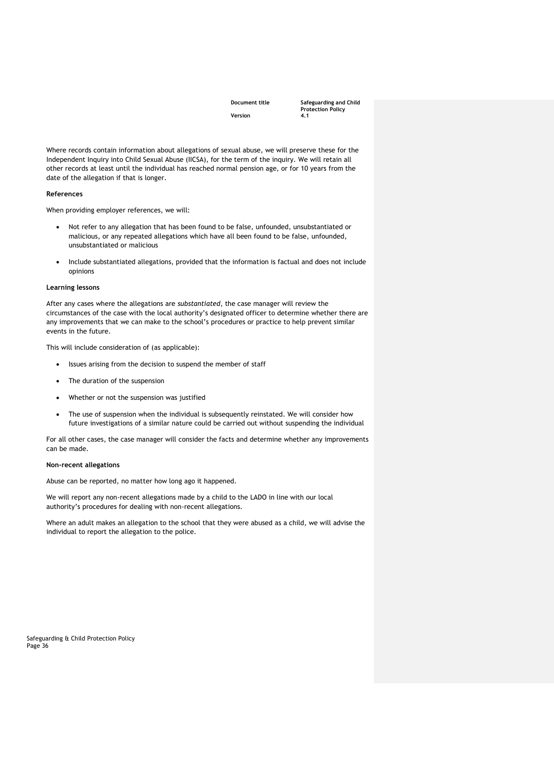**Document title Safeguarding and Child Protection Policy** 

Where records contain information about allegations of sexual abuse, we will preserve these for the Independent Inquiry into Child Sexual Abuse (IICSA), for the term of the inquiry. We will retain all other records at least until the individual has reached normal pension age, or for 10 years from the date of the allegation if that is longer.

#### **References**

When providing employer references, we will:

- Not refer to any allegation that has been found to be false, unfounded, unsubstantiated or malicious, or any repeated allegations which have all been found to be false, unfounded, unsubstantiated or malicious
- Include substantiated allegations, provided that the information is factual and does not include opinions

#### **Learning lessons**

After any cases where the allegations are *substantiated*, the case manager will review the circumstances of the case with the local authority's designated officer to determine whether there are any improvements that we can make to the school's procedures or practice to help prevent similar events in the future.

This will include consideration of (as applicable):

- Issues arising from the decision to suspend the member of staff
- The duration of the suspension
- Whether or not the suspension was justified
- The use of suspension when the individual is subsequently reinstated. We will consider how future investigations of a similar nature could be carried out without suspending the individual

For all other cases, the case manager will consider the facts and determine whether any improvements can be made.

#### **Non-recent allegations**

Abuse can be reported, no matter how long ago it happened.

We will report any non-recent allegations made by a child to the LADO in line with our local authority's procedures for dealing with non-recent allegations.

Where an adult makes an allegation to the school that they were abused as a child, we will advise the individual to report the allegation to the police.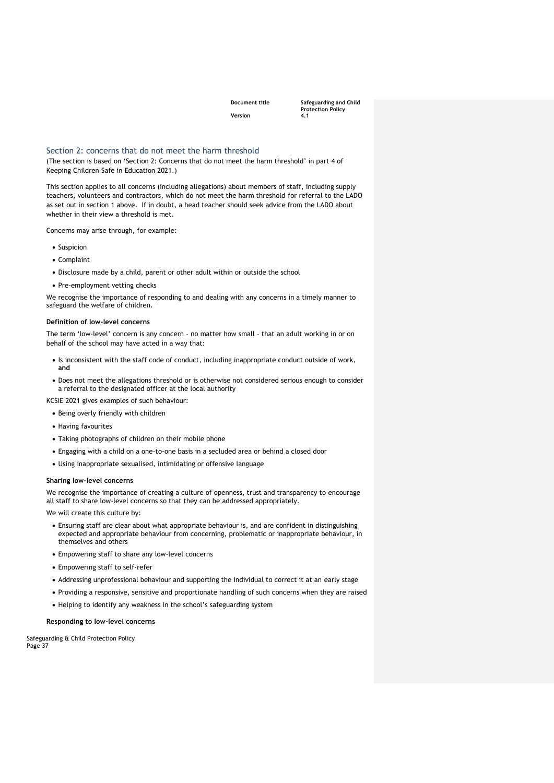**Document title Safeguarding and Child Protection Policy** 

### <span id="page-36-0"></span>Section 2: concerns that do not meet the harm threshold

(The section is based on 'Section 2: Concerns that do not meet the harm threshold' in part 4 of Keeping Children Safe in Education 2021.)

This section applies to all concerns (including allegations) about members of staff, including supply teachers, volunteers and contractors, which do not meet the harm threshold for referral to the LADO as set out in section 1 above. If in doubt, a head teacher should seek advice from the LADO about whether in their view a threshold is met.

Concerns may arise through, for example:

- Suspicion
- Complaint
- Disclosure made by a child, parent or other adult within or outside the school
- Pre-employment vetting checks

We recognise the importance of responding to and dealing with any concerns in a timely manner to safeguard the welfare of children.

#### **Definition of low-level concerns**

The term 'low-level' concern is any concern – no matter how small – that an adult working in or on behalf of the school may have acted in a way that:

- Is inconsistent with the staff code of conduct, including inappropriate conduct outside of work, **and**
- Does not meet the allegations threshold or is otherwise not considered serious enough to consider a referral to the designated officer at the local authority

KCSIE 2021 gives examples of such behaviour:

- Being overly friendly with children
- Having favourites
- Taking photographs of children on their mobile phone
- Engaging with a child on a one-to-one basis in a secluded area or behind a closed door
- Using inappropriate sexualised, intimidating or offensive language

#### **Sharing low-level concerns**

We recognise the importance of creating a culture of openness, trust and transparency to encourage all staff to share low-level concerns so that they can be addressed appropriately.

We will create this culture by:

- Ensuring staff are clear about what appropriate behaviour is, and are confident in distinguishing expected and appropriate behaviour from concerning, problematic or inappropriate behaviour, in themselves and others
- Empowering staff to share any low-level concerns
- Empowering staff to self-refer
- Addressing unprofessional behaviour and supporting the individual to correct it at an early stage
- Providing a responsive, sensitive and proportionate handling of such concerns when they are raised
- Helping to identify any weakness in the school's safeguarding system

**Responding to low-level concerns**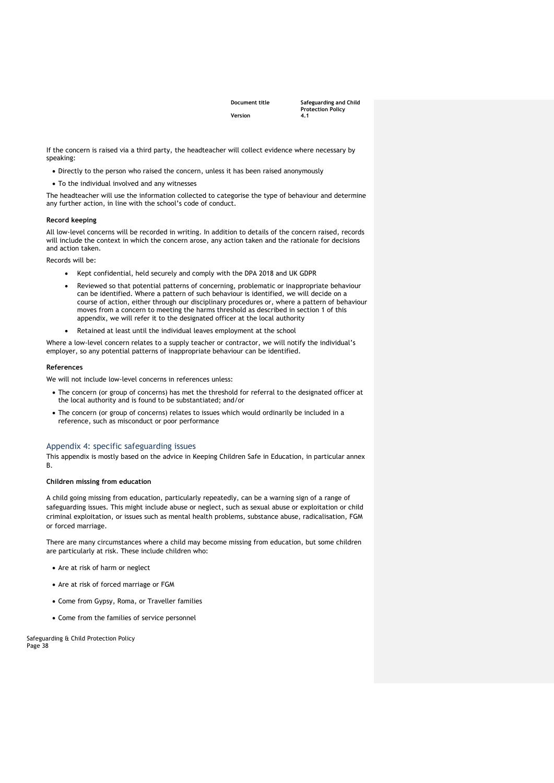**Document title Safeguarding and Child Protection Policy** 

If the concern is raised via a third party, the headteacher will collect evidence where necessary by speaking:

- Directly to the person who raised the concern, unless it has been raised anonymously
- To the individual involved and any witnesses

The headteacher will use the information collected to categorise the type of behaviour and determine any further action, in line with the school's code of conduct.

#### **Record keeping**

All low-level concerns will be recorded in writing. In addition to details of the concern raised, records will include the context in which the concern arose, any action taken and the rationale for decisions and action taken.

Records will be:

- Kept confidential, held securely and comply with the DPA 2018 and UK GDPR
- Reviewed so that potential patterns of concerning, problematic or inappropriate behaviour can be identified. Where a pattern of such behaviour is identified, we will decide on a course of action, either through our disciplinary procedures or, where a pattern of behaviour moves from a concern to meeting the harms threshold as described in section 1 of this appendix, we will refer it to the designated officer at the local authority
- Retained at least until the individual leaves employment at the school

Where a low-level concern relates to a supply teacher or contractor, we will notify the individual's employer, so any potential patterns of inappropriate behaviour can be identified.

#### **References**

We will not include low-level concerns in references unless:

- The concern (or group of concerns) has met the threshold for referral to the designated officer at the local authority and is found to be substantiated; and/or
- The concern (or group of concerns) relates to issues which would ordinarily be included in a reference, such as misconduct or poor performance

#### <span id="page-37-0"></span>Appendix 4: specific safeguarding issues

This appendix is mostly based on the advice in Keeping Children Safe in Education, in particular annex B.

#### **Children missing from education**

A child going missing from education, particularly repeatedly, can be a warning sign of a range of safeguarding issues. This might include abuse or neglect, such as sexual abuse or exploitation or child criminal exploitation, or issues such as mental health problems, substance abuse, radicalisation, FGM or forced marriage.

There are many circumstances where a child may become missing from education, but some children are particularly at risk. These include children who:

- Are at risk of harm or neglect
- Are at risk of forced marriage or FGM
- Come from Gypsy, Roma, or Traveller families
- Come from the families of service personnel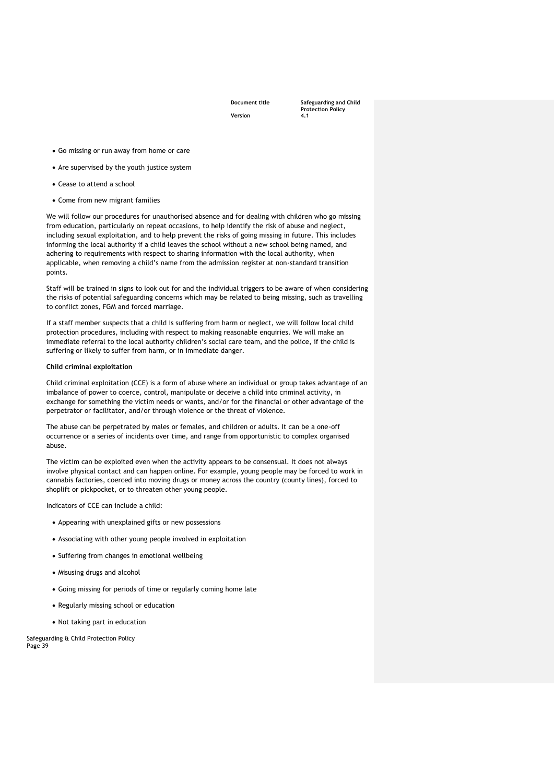**Document title Safeguarding and Child Protection Policy** 

- Go missing or run away from home or care
- Are supervised by the youth justice system
- Cease to attend a school
- Come from new migrant families

We will follow our procedures for unauthorised absence and for dealing with children who go missing from education, particularly on repeat occasions, to help identify the risk of abuse and neglect, including sexual exploitation, and to help prevent the risks of going missing in future. This includes informing the local authority if a child leaves the school without a new school being named, and adhering to requirements with respect to sharing information with the local authority, when applicable, when removing a child's name from the admission register at non-standard transition points.

Staff will be trained in signs to look out for and the individual triggers to be aware of when considering the risks of potential safeguarding concerns which may be related to being missing, such as travelling to conflict zones, FGM and forced marriage.

If a staff member suspects that a child is suffering from harm or neglect, we will follow local child protection procedures, including with respect to making reasonable enquiries. We will make an immediate referral to the local authority children's social care team, and the police, if the child is suffering or likely to suffer from harm, or in immediate danger.

#### **Child criminal exploitation**

Child criminal exploitation (CCE) is a form of abuse where an individual or group takes advantage of an imbalance of power to coerce, control, manipulate or deceive a child into criminal activity, in exchange for something the victim needs or wants, and/or for the financial or other advantage of the perpetrator or facilitator, and/or through violence or the threat of violence.

The abuse can be perpetrated by males or females, and children or adults. It can be a one-off occurrence or a series of incidents over time, and range from opportunistic to complex organised abuse.

The victim can be exploited even when the activity appears to be consensual. It does not always involve physical contact and can happen online. For example, young people may be forced to work in cannabis factories, coerced into moving drugs or money across the country (county lines), forced to shoplift or pickpocket, or to threaten other young people.

Indicators of CCE can include a child:

- Appearing with unexplained gifts or new possessions
- Associating with other young people involved in exploitation
- Suffering from changes in emotional wellbeing
- Misusing drugs and alcohol
- Going missing for periods of time or regularly coming home late
- Regularly missing school or education
- Not taking part in education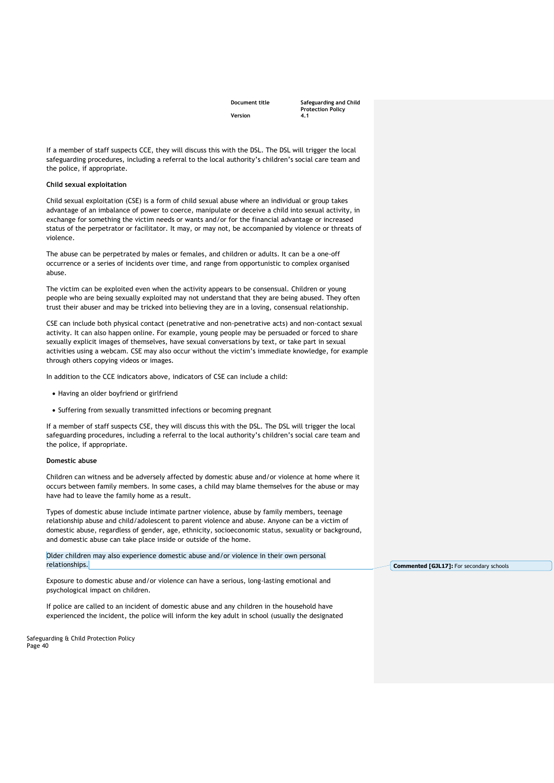**Document title Safeguarding and Child Protection Policy** 

If a member of staff suspects CCE, they will discuss this with the DSL. The DSL will trigger the local safeguarding procedures, including a referral to the local authority's children's social care team and the police, if appropriate.

#### **Child sexual exploitation**

Child sexual exploitation (CSE) is a form of child sexual abuse where an individual or group takes advantage of an imbalance of power to coerce, manipulate or deceive a child into sexual activity, in exchange for something the victim needs or wants and/or for the financial advantage or increased status of the perpetrator or facilitator. It may, or may not, be accompanied by violence or threats of violence.

The abuse can be perpetrated by males or females, and children or adults. It can be a one-off occurrence or a series of incidents over time, and range from opportunistic to complex organised abuse.

The victim can be exploited even when the activity appears to be consensual. Children or young people who are being sexually exploited may not understand that they are being abused. They often trust their abuser and may be tricked into believing they are in a loving, consensual relationship.

CSE can include both physical contact (penetrative and non-penetrative acts) and non-contact sexual activity. It can also happen online. For example, young people may be persuaded or forced to share sexually explicit images of themselves, have sexual conversations by text, or take part in sexual activities using a webcam. CSE may also occur without the victim's immediate knowledge, for example through others copying videos or images.

In addition to the CCE indicators above, indicators of CSE can include a child:

- Having an older boyfriend or girlfriend
- Suffering from sexually transmitted infections or becoming pregnant

If a member of staff suspects CSE, they will discuss this with the DSL. The DSL will trigger the local safeguarding procedures, including a referral to the local authority's children's social care team and the police, if appropriate.

#### **Domestic abuse**

Children can witness and be adversely affected by domestic abuse and/or violence at home where it occurs between family members. In some cases, a child may blame themselves for the abuse or may have had to leave the family home as a result.

Types of domestic abuse include intimate partner violence, abuse by family members, teenage relationship abuse and child/adolescent to parent violence and abuse. Anyone can be a victim of domestic abuse, regardless of gender, age, ethnicity, socioeconomic status, sexuality or background, and domestic abuse can take place inside or outside of the home.

Older children may also experience domestic abuse and/or violence in their own personal relationships.

Exposure to domestic abuse and/or violence can have a serious, long-lasting emotional and psychological impact on children.

If police are called to an incident of domestic abuse and any children in the household have experienced the incident, the police will inform the key adult in school (usually the designated

Safeguarding & Child Protection Policy Page 40

**Commented [GJL17]:** For secondary schools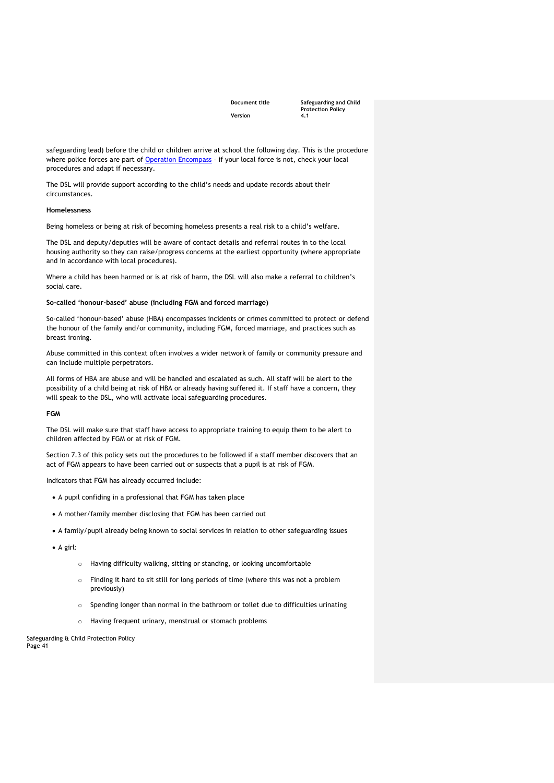**Document title Safeguarding and Child Protection Policy** 

safeguarding lead) before the child or children arrive at school the following day. This is the procedure where police forces are part of [Operation Encompass](https://www.operationencompass.org/) – if your local force is not, check your local procedures and adapt if necessary.

The DSL will provide support according to the child's needs and update records about their circumstances.

#### **Homelessness**

Being homeless or being at risk of becoming homeless presents a real risk to a child's welfare.

The DSL and deputy/deputies will be aware of contact details and referral routes in to the local housing authority so they can raise/progress concerns at the earliest opportunity (where appropriate and in accordance with local procedures).

Where a child has been harmed or is at risk of harm, the DSL will also make a referral to children's social care.

#### **So-called 'honour-based' abuse (including FGM and forced marriage)**

So-called 'honour-based' abuse (HBA) encompasses incidents or crimes committed to protect or defend the honour of the family and/or community, including FGM, forced marriage, and practices such as breast ironing.

Abuse committed in this context often involves a wider network of family or community pressure and can include multiple perpetrators.

All forms of HBA are abuse and will be handled and escalated as such. All staff will be alert to the possibility of a child being at risk of HBA or already having suffered it. If staff have a concern, they will speak to the DSL, who will activate local safeguarding procedures.

#### **FGM**

The DSL will make sure that staff have access to appropriate training to equip them to be alert to children affected by FGM or at risk of FGM.

Section 7.3 of this policy sets out the procedures to be followed if a staff member discovers that an act of FGM appears to have been carried out or suspects that a pupil is at risk of FGM.

Indicators that FGM has already occurred include:

- A pupil confiding in a professional that FGM has taken place
- A mother/family member disclosing that FGM has been carried out
- A family/pupil already being known to social services in relation to other safeguarding issues
- A girl:
	- o Having difficulty walking, sitting or standing, or looking uncomfortable
	- o Finding it hard to sit still for long periods of time (where this was not a problem previously)
	- o Spending longer than normal in the bathroom or toilet due to difficulties urinating
	- o Having frequent urinary, menstrual or stomach problems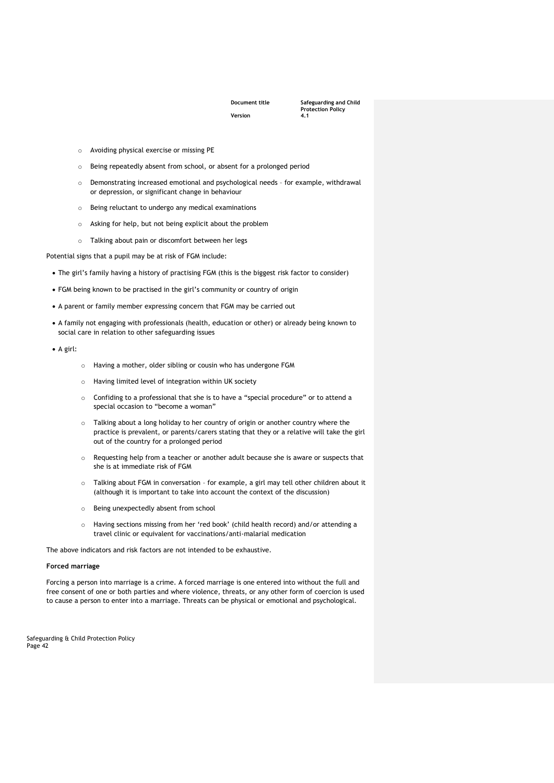**Document title Safeguarding and Child Protection Policy** 

- o Avoiding physical exercise or missing PE
- o Being repeatedly absent from school, or absent for a prolonged period
- o Demonstrating increased emotional and psychological needs for example, withdrawal or depression, or significant change in behaviour
- o Being reluctant to undergo any medical examinations
- o Asking for help, but not being explicit about the problem
- o Talking about pain or discomfort between her legs

Potential signs that a pupil may be at risk of FGM include:

- The girl's family having a history of practising FGM (this is the biggest risk factor to consider)
- FGM being known to be practised in the girl's community or country of origin
- A parent or family member expressing concern that FGM may be carried out
- A family not engaging with professionals (health, education or other) or already being known to social care in relation to other safeguarding issues
- A girl:
- o Having a mother, older sibling or cousin who has undergone FGM
- o Having limited level of integration within UK society
- o Confiding to a professional that she is to have a "special procedure" or to attend a special occasion to "become a woman"
- o Talking about a long holiday to her country of origin or another country where the practice is prevalent, or parents/carers stating that they or a relative will take the girl out of the country for a prolonged period
- o Requesting help from a teacher or another adult because she is aware or suspects that she is at immediate risk of FGM
- o Talking about FGM in conversation for example, a girl may tell other children about it (although it is important to take into account the context of the discussion)
- o Being unexpectedly absent from school
- o Having sections missing from her 'red book' (child health record) and/or attending a travel clinic or equivalent for vaccinations/anti-malarial medication

The above indicators and risk factors are not intended to be exhaustive.

#### **Forced marriage**

Forcing a person into marriage is a crime. A forced marriage is one entered into without the full and free consent of one or both parties and where violence, threats, or any other form of coercion is used to cause a person to enter into a marriage. Threats can be physical or emotional and psychological.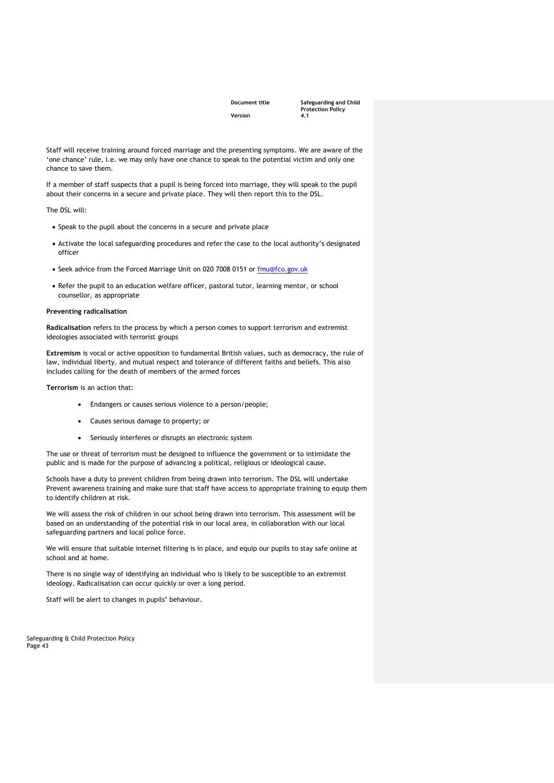**Document title Safeguarding and Child Protection Policy** 

Staff will receive training around forced marriage and the presenting symptoms. We are aware of the 'one chance' rule, i.e. we may only have one chance to speak to the potential victim and only one chance to save them.

If a member of staff suspects that a pupil is being forced into marriage, they will speak to the pupil about their concerns in a secure and private place. They will then report this to the DSL.

The DSL will:

- Speak to the pupil about the concerns in a secure and private place
- Activate the local safeguarding procedures and refer the case to the local authority's designated officer
- Seek advice from the Forced Marriage Unit on 020 7008 0151 or [fmu@fco.gov.uk](mailto:fmu@fco.gov.uk)
- Refer the pupil to an education welfare officer, pastoral tutor, learning mentor, or school counsellor, as appropriate

#### **Preventing radicalisation**

**Radicalisation** refers to the process by which a person comes to support terrorism and extremist ideologies associated with terrorist groups

**Extremism** is vocal or active opposition to fundamental British values, such as democracy, the rule of law, individual liberty, and mutual respect and tolerance of different faiths and beliefs. This also includes calling for the death of members of the armed forces

**Terrorism** is an action that:

- Endangers or causes serious violence to a person/people;
- Causes serious damage to property; or
- Seriously interferes or disrupts an electronic system

The use or threat of terrorism must be designed to influence the government or to intimidate the public and is made for the purpose of advancing a political, religious or ideological cause.

Schools have a duty to prevent children from being drawn into terrorism. The DSL will undertake Prevent awareness training and make sure that staff have access to appropriate training to equip them to identify children at risk.

We will assess the risk of children in our school being drawn into terrorism. This assessment will be based on an understanding of the potential risk in our local area, in collaboration with our local safeguarding partners and local police force.

We will ensure that suitable internet filtering is in place, and equip our pupils to stay safe online at school and at home.

There is no single way of identifying an individual who is likely to be susceptible to an extremist ideology. Radicalisation can occur quickly or over a long period.

Staff will be alert to changes in pupils' behaviour.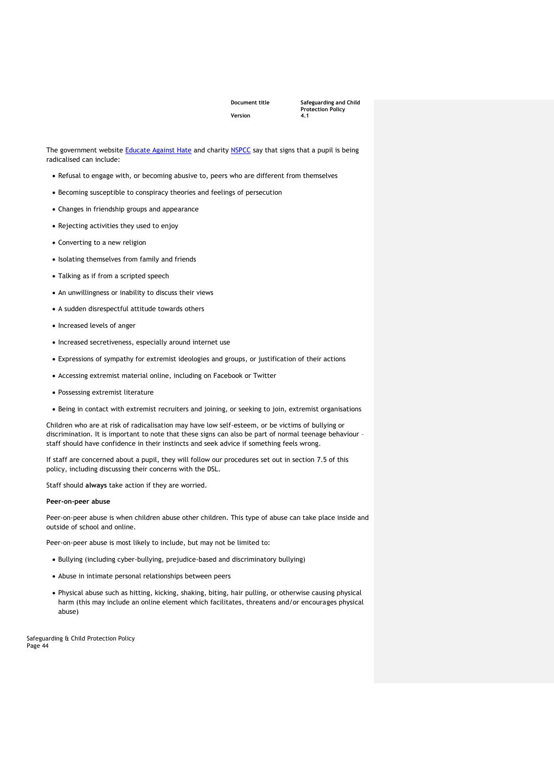**Document title Safeguarding and Child Protection Policy** 

The government website **Educate Against Hate** and charity [NSPCC](https://www.nspcc.org.uk/what-you-can-do/report-abuse/dedicated-helplines/protecting-children-from-radicalisation/) say that signs that a pupil is being radicalised can include:

- Refusal to engage with, or becoming abusive to, peers who are different from themselves
- Becoming susceptible to conspiracy theories and feelings of persecution
- Changes in friendship groups and appearance
- Rejecting activities they used to enjoy
- Converting to a new religion
- Isolating themselves from family and friends
- Talking as if from a scripted speech
- An unwillingness or inability to discuss their views
- A sudden disrespectful attitude towards others
- Increased levels of anger
- Increased secretiveness, especially around internet use
- Expressions of sympathy for extremist ideologies and groups, or justification of their actions
- Accessing extremist material online, including on Facebook or Twitter
- Possessing extremist literature
- Being in contact with extremist recruiters and joining, or seeking to join, extremist organisations

Children who are at risk of radicalisation may have low self-esteem, or be victims of bullying or discrimination. It is important to note that these signs can also be part of normal teenage behaviour – staff should have confidence in their instincts and seek advice if something feels wrong.

If staff are concerned about a pupil, they will follow our procedures set out in section 7.5 of this policy, including discussing their concerns with the DSL.

Staff should **always** take action if they are worried.

#### **Peer-on-peer abuse**

Peer-on-peer abuse is when children abuse other children. This type of abuse can take place inside and outside of school and online.

Peer-on-peer abuse is most likely to include, but may not be limited to:

- Bullying (including cyber-bullying, prejudice-based and discriminatory bullying)
- Abuse in intimate personal relationships between peers
- Physical abuse such as hitting, kicking, shaking, biting, hair pulling, or otherwise causing physical harm (this may include an online element which facilitates, threatens and/or encourages physical abuse)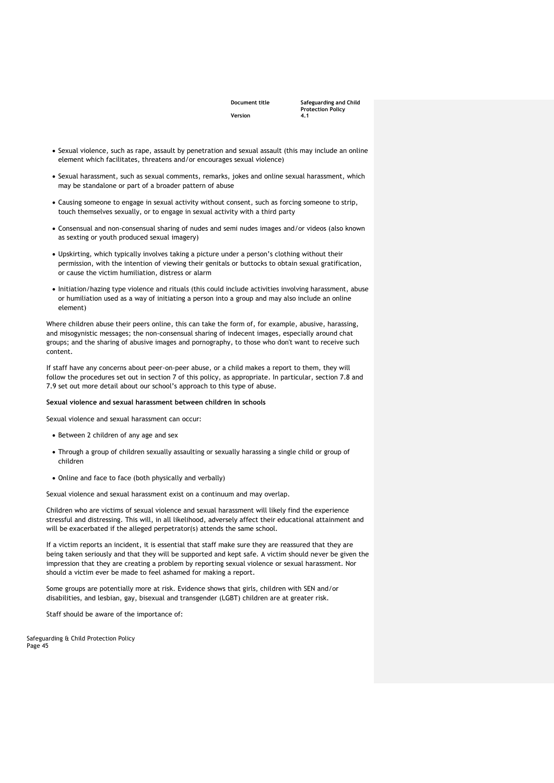**Document title Safeguarding and Child Protection Policy** 

- Sexual violence, such as rape, assault by penetration and sexual assault (this may include an online element which facilitates, threatens and/or encourages sexual violence)
- Sexual harassment, such as sexual comments, remarks, jokes and online sexual harassment, which may be standalone or part of a broader pattern of abuse
- Causing someone to engage in sexual activity without consent, such as forcing someone to strip, touch themselves sexually, or to engage in sexual activity with a third party
- Consensual and non-consensual sharing of nudes and semi nudes images and/or videos (also known as sexting or youth produced sexual imagery)
- Upskirting, which typically involves taking a picture under a person's clothing without their permission, with the intention of viewing their genitals or buttocks to obtain sexual gratification, or cause the victim humiliation, distress or alarm
- Initiation/hazing type violence and rituals (this could include activities involving harassment, abuse or humiliation used as a way of initiating a person into a group and may also include an online element)

Where children abuse their peers online, this can take the form of, for example, abusive, harassing, and misogynistic messages; the non-consensual sharing of indecent images, especially around chat groups; and the sharing of abusive images and pornography, to those who don't want to receive such content.

If staff have any concerns about peer-on-peer abuse, or a child makes a report to them, they will follow the procedures set out in section 7 of this policy, as appropriate. In particular, section 7.8 and 7.9 set out more detail about our school's approach to this type of abuse.

#### **Sexual violence and sexual harassment between children in schools**

Sexual violence and sexual harassment can occur:

- Between 2 children of any age and sex
- Through a group of children sexually assaulting or sexually harassing a single child or group of children
- Online and face to face (both physically and verbally)

Sexual violence and sexual harassment exist on a continuum and may overlap.

Children who are victims of sexual violence and sexual harassment will likely find the experience stressful and distressing. This will, in all likelihood, adversely affect their educational attainment and will be exacerbated if the alleged perpetrator(s) attends the same school.

If a victim reports an incident, it is essential that staff make sure they are reassured that they are being taken seriously and that they will be supported and kept safe. A victim should never be given the impression that they are creating a problem by reporting sexual violence or sexual harassment. Nor should a victim ever be made to feel ashamed for making a report.

Some groups are potentially more at risk. Evidence shows that girls, children with SEN and/or disabilities, and lesbian, gay, bisexual and transgender (LGBT) children are at greater risk.

Staff should be aware of the importance of: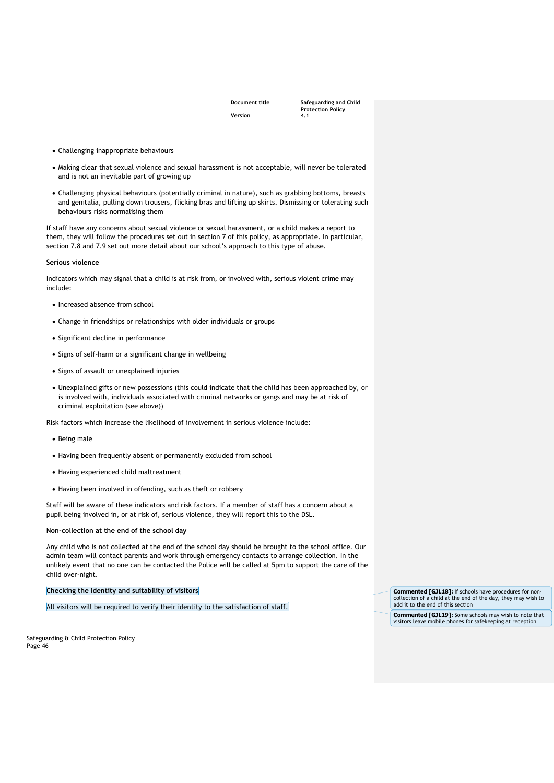**Document title Safeguarding and Child Protection Policy** 

- Challenging inappropriate behaviours
- Making clear that sexual violence and sexual harassment is not acceptable, will never be tolerated and is not an inevitable part of growing up
- Challenging physical behaviours (potentially criminal in nature), such as grabbing bottoms, breasts and genitalia, pulling down trousers, flicking bras and lifting up skirts. Dismissing or tolerating such behaviours risks normalising them

If staff have any concerns about sexual violence or sexual harassment, or a child makes a report to them, they will follow the procedures set out in section 7 of this policy, as appropriate. In particular, section 7.8 and 7.9 set out more detail about our school's approach to this type of abuse.

#### **Serious violence**

Indicators which may signal that a child is at risk from, or involved with, serious violent crime may include:

- Increased absence from school
- Change in friendships or relationships with older individuals or groups
- Significant decline in performance
- Signs of self-harm or a significant change in wellbeing
- Signs of assault or unexplained injuries
- Unexplained gifts or new possessions (this could indicate that the child has been approached by, or is involved with, individuals associated with criminal networks or gangs and may be at risk of criminal exploitation (see above))

Risk factors which increase the likelihood of involvement in serious violence include:

- Being male
- Having been frequently absent or permanently excluded from school
- Having experienced child maltreatment
- Having been involved in offending, such as theft or robbery

Staff will be aware of these indicators and risk factors. If a member of staff has a concern about a pupil being involved in, or at risk of, serious violence, they will report this to the DSL.

#### **Non-collection at the end of the school day**

Any child who is not collected at the end of the school day should be brought to the school office. Our admin team will contact parents and work through emergency contacts to arrange collection. In the unlikely event that no one can be contacted the Police will be called at 5pm to support the care of the child over-night.

**Checking the identity and suitability of visitors**

All visitors will be required to verify their identity to the satisfaction of staff.

**Commented [GJL18]:** If schools have procedures for non-collection of a child at the end of the day, they may wish to add it to the end of this section

**Commented [GJL19]:** Some schools may wish to note that visitors leave mobile phones for safekeeping at reception